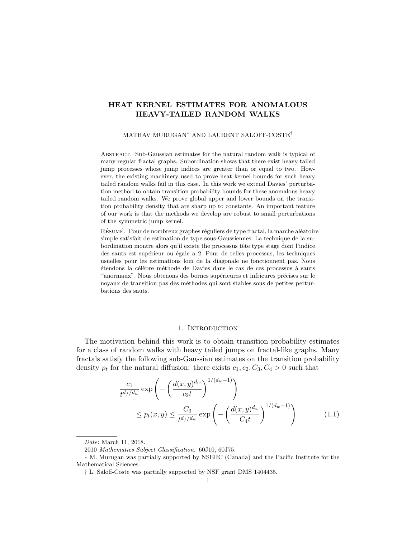# <span id="page-0-1"></span>HEAT KERNEL ESTIMATES FOR ANOMALOUS HEAVY-TAILED RANDOM WALKS

#### MATHAV MURUGAN<sup>∗</sup> AND LAURENT SALOFF-COSTE†

Abstract. Sub-Gaussian estimates for the natural random walk is typical of many regular fractal graphs. Subordination shows that there exist heavy tailed jump processes whose jump indices are greater than or equal to two. However, the existing machinery used to prove heat kernel bounds for such heavy tailed random walks fail in this case. In this work we extend Davies' perturbation method to obtain transition probability bounds for these anomalous heavy tailed random walks. We prove global upper and lower bounds on the transition probability density that are sharp up to constants. An important feature of our work is that the methods we develop are robust to small perturbations of the symmetric jump kernel.

RÉSUMÉ. Pour de nombreux graphes réguliers de type fractal, la marche aléatoire simple satisfait de estimation de type sous-Gaussiennes. La technique de la subordination montre alors qu'il existe the processus tête type stage dont l'indice des sauts est supérieur ou égale a 2. Pour de telles processus, les techniques usuelles pour les estimations loin de la diagonale ne fonctionnent pas. Nous ´etendons la c´el`ebre m´ethode de Davies dans le cas de ces processus `a sauts "anormaux". Nous obtenons des bornes supérieures et infrieures précises sur le noyaux de transition pas des m´ethodes qui sont stables sous de petites perturbations des sauts.

## <span id="page-0-0"></span>1. INTRODUCTION

The motivation behind this work is to obtain transition probability estimates for a class of random walks with heavy tailed jumps on fractal-like graphs. Many fractals satisfy the following sub-Gaussian estimates on the transition probability density  $p_t$  for the natural diffusion: there exists  $c_1, c_2, C_3, C_4 > 0$  such that

$$
\frac{c_1}{t^{d_f/d_w}} \exp\left(-\left(\frac{d(x,y)^{d_w}}{c_2 t}\right)^{1/(d_w-1)}\right) \le p_t(x,y) \le \frac{C_3}{t^{d_f/d_w}} \exp\left(-\left(\frac{d(x,y)^{d_w}}{C_4 t}\right)^{1/(d_w-1)}\right) \tag{1.1}
$$

Date: March 11, 2018.

<sup>2010</sup> Mathematics Subject Classification. 60J10, 60J75.

<sup>∗</sup> M. Murugan was partially supported by NSERC (Canada) and the Pacific Institute for the Mathematical Sciences.

<sup>†</sup> L. Saloff-Coste was partially supported by NSF grant DMS 1404435.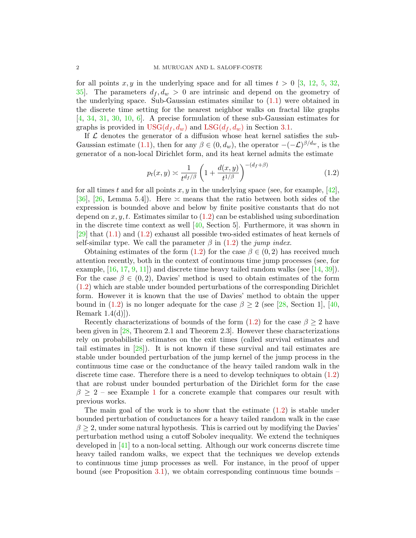for all points  $x, y$  in the underlying space and for all times  $t > 0$  [\[3,](#page-24-0) [12,](#page-25-0) [5,](#page-25-1) [32,](#page-26-0) 35. The parameters  $d_f, d_w > 0$  are intrinsic and depend on the geometry of the underlying space. Sub-Gaussian estimates similar to  $(1.1)$  were obtained in the discrete time setting for the nearest neighbor walks on fractal like graphs [\[4,](#page-25-2) [34,](#page-26-2) [31,](#page-26-3) [30,](#page-26-4) [10,](#page-25-3) [6\]](#page-25-4). A precise formulation of these sub-Gaussian estimates for graphs is provided in  $USG(d_f, d_w)$  $USG(d_f, d_w)$  and  $LSG(d_f, d_w)$  $LSG(d_f, d_w)$  in Section [3.1.](#page-22-2)

If  $\mathcal L$  denotes the generator of a diffusion whose heat kernel satisfies the sub-Gaussian estimate [\(1.1\)](#page-0-0), then for any  $\beta \in (0, d_w)$ , the operator  $-(-\mathcal{L})^{\beta/d_w}$ , is the generator of a non-local Dirichlet form, and its heat kernel admits the estimate

<span id="page-1-0"></span>
$$
p_t(x,y) \asymp \frac{1}{t^{d_f/\beta}} \left(1 + \frac{d(x,y)}{t^{1/\beta}}\right)^{-(d_f+\beta)}
$$
(1.2)

for all times t and for all points  $x, y$  in the underlying space (see, for example, [\[42\]](#page-26-5), [\[36\]](#page-26-6), [\[26,](#page-25-5) Lemma 5.4]). Here  $\approx$  means that the ratio between both sides of the expression is bounded above and below by finite positive constants that do not depend on  $x, y, t$ . Estimates similar to  $(1.2)$  can be established using subordination in the discrete time context as well [\[40,](#page-26-7) Section 5]. Furthermore, it was shown in [\[29\]](#page-26-8) that [\(1.1\)](#page-0-0) and [\(1.2\)](#page-1-0) exhaust all possible two-sided estimates of heat kernels of self-similar type. We call the parameter  $\beta$  in [\(1.2\)](#page-1-0) the jump index.

Obtaining estimates of the form  $(1.2)$  for the case  $\beta \in (0, 2)$  has received much attention recently, both in the context of continuous time jump processes (see, for example,  $[16, 17, 9, 11]$  $[16, 17, 9, 11]$  $[16, 17, 9, 11]$  $[16, 17, 9, 11]$  $[16, 17, 9, 11]$  $[16, 17, 9, 11]$  and discrete time heavy tailed random walks (see  $[14, 39]$  $[14, 39]$ ). For the case  $\beta \in (0, 2)$ , Davies' method is used to obtain estimates of the form [\(1.2\)](#page-1-0) which are stable under bounded perturbations of the corresponding Dirichlet form. However it is known that the use of Davies' method to obtain the upper bound in [\(1.2\)](#page-1-0) is no longer adequate for the case  $\beta \geq 2$  (see [\[28,](#page-26-10) Section 1], [\[40,](#page-26-7) Remark 1.4(d)]).

Recently characterizations of bounds of the form  $(1.2)$  for the case  $\beta \geq 2$  have been given in [\[28,](#page-26-10) Theorem 2.1 and Theorem 2.3]. However these characterizations rely on probabilistic estimates on the exit times (called survival estimates and tail estimates in [\[28\]](#page-26-10)). It is not known if these survival and tail estimates are stable under bounded perturbation of the jump kernel of the jump process in the continuous time case or the conductance of the heavy tailed random walk in the discrete time case. Therefore there is a need to develop techniques to obtain [\(1.2\)](#page-1-0) that are robust under bounded perturbation of the Dirichlet form for the case  $\beta \geq 2$  – see Example [1](#page-23-0) for a concrete example that compares our result with previous works.

The main goal of the work is to show that the estimate [\(1.2\)](#page-1-0) is stable under bounded perturbation of conductances for a heavy tailed random walk in the case  $\beta \geq 2$ , under some natural hypothesis. This is carried out by modifying the Davies' perturbation method using a cutoff Sobolev inequality. We extend the techniques developed in [\[41\]](#page-26-11) to a non-local setting. Although our work concerns discrete time heavy tailed random walks, we expect that the techniques we develop extends to continuous time jump processes as well. For instance, in the proof of upper bound (see Proposition [3.1\)](#page-13-0), we obtain corresponding continuous time bounds  $-$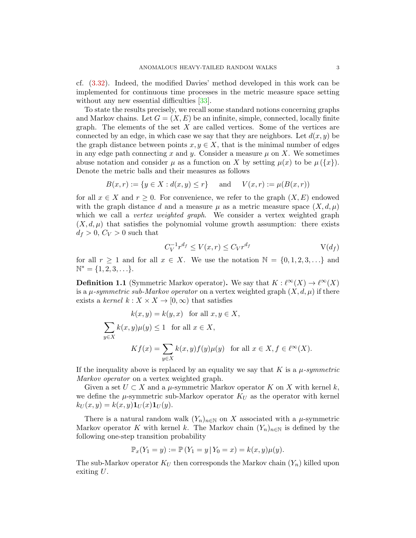cf. [\(3.32\)](#page-19-0). Indeed, the modified Davies' method developed in this work can be implemented for continuous time processes in the metric measure space setting without any new essential difficulties [\[33\]](#page-26-12).

To state the results precisely, we recall some standard notions concerning graphs and Markov chains. Let  $G = (X, E)$  be an infinite, simple, connected, locally finite graph. The elements of the set  $X$  are called vertices. Some of the vertices are connected by an edge, in which case we say that they are neighbors. Let  $d(x, y)$  be the graph distance between points  $x, y \in X$ , that is the minimal number of edges in any edge path connecting x and y. Consider a measure  $\mu$  on X. We sometimes abuse notation and consider  $\mu$  as a function on X by setting  $\mu(x)$  to be  $\mu({x})$ . Denote the metric balls and their measures as follows

$$
B(x,r) := \{ y \in X : d(x,y) \le r \} \quad \text{and} \quad V(x,r) := \mu(B(x,r))
$$

for all  $x \in X$  and  $r \geq 0$ . For convenience, we refer to the graph  $(X, E)$  endowed with the graph distance d and a measure  $\mu$  as a metric measure space  $(X, d, \mu)$ which we call a *vertex weighted graph*. We consider a vertex weighted graph  $(X, d, \mu)$  that satisfies the polynomial volume growth assumption: there exists  $d_f > 0, C_V > 0$  such that

<span id="page-2-2"></span><span id="page-2-0"></span>
$$
C_V^{-1}r^{d_f} \le V(x,r) \le C_V r^{d_f} \qquad \qquad V(d_f)
$$

for all  $r \geq 1$  and for all  $x \in X$ . We use the notation  $\mathbb{N} = \{0, 1, 2, 3, \ldots\}$  and  $\mathbb{N}^* = \{1, 2, 3, \ldots\}.$ 

<span id="page-2-1"></span>**Definition 1.1** (Symmetric Markov operator). We say that  $K : \ell^{\infty}(X) \to \ell^{\infty}(X)$ is a  $\mu$ -symmetric sub-Markov operator on a vertex weighted graph  $(X, d, \mu)$  if there exists a kernel  $k: X \times X \to [0, \infty)$  that satisfies

$$
k(x, y) = k(y, x) \text{ for all } x, y \in X,
$$
  

$$
\sum_{y \in X} k(x, y)\mu(y) \le 1 \text{ for all } x \in X,
$$
  

$$
Kf(x) = \sum_{y \in X} k(x, y)f(y)\mu(y) \text{ for all } x \in X, f \in \ell^{\infty}(X).
$$

If the inequality above is replaced by an equality we say that K is a  $\mu$ -symmetric Markov operator on a vertex weighted graph.

Given a set  $U \subset X$  and a  $\mu$ -symmetric Markov operator K on X with kernel k, we define the  $\mu$ -symmetric sub-Markov operator  $K_U$  as the operator with kernel  $k_U(x, y) = k(x, y) \mathbf{1}_U(x) \mathbf{1}_U(y).$ 

There is a natural random walk  $(Y_n)_{n\in\mathbb{N}}$  on X associated with a  $\mu$ -symmetric Markov operator K with kernel k. The Markov chain  $(Y_n)_{n\in\mathbb{N}}$  is defined by the following one-step transition probability

$$
\mathbb{P}_x(Y_1 = y) := \mathbb{P}(Y_1 = y | Y_0 = x) = k(x, y)\mu(y).
$$

The sub-Markov operator  $K_U$  then corresponds the Markov chain  $(Y_n)$  killed upon exiting U.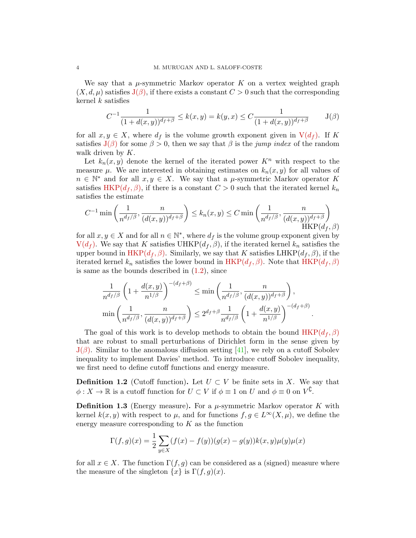We say that a  $\mu$ -symmetric Markov operator K on a vertex weighted graph  $(X, d, \mu)$  satisfies  $J(\beta)$  $J(\beta)$ , if there exists a constant  $C > 0$  such that the corresponding kernel  $k$  satisfies

$$
C^{-1} \frac{1}{(1 + d(x, y))^{d_f + \beta}} \le k(x, y) = k(y, x) \le C \frac{1}{(1 + d(x, y))^{d_f + \beta}} \qquad J(\beta)
$$

for all  $x, y \in X$ , where  $d_f$  is the volume growth exponent given in  $V(d_f)$  $V(d_f)$ . If K satisfies  $J(\beta)$  $J(\beta)$  for some  $\beta > 0$ , then we say that  $\beta$  is the jump index of the random walk driven by  $K$ .

Let  $k_n(x, y)$  denote the kernel of the iterated power  $K^n$  with respect to the measure  $\mu$ . We are interested in obtaining estimates on  $k_n(x, y)$  for all values of  $n \in \mathbb{N}^*$  and for all  $x, y \in X$ . We say that a  $\mu$ -symmetric Markov operator K satisfies [HKP\(](#page-3-1) $d_f$ ,  $\beta$ ), if there is a constant  $C > 0$  such that the iterated kernel  $k_n$ satisfies the estimate

$$
C^{-1} \min \left( \frac{1}{n^{d_f/\beta}}, \frac{n}{(d(x,y))^{d_f+\beta}} \right) \le k_n(x,y) \le C \min \left( \frac{1}{n^{d_f/\beta}}, \frac{n}{(d(x,y))^{d_f+\beta}} \right)
$$
  
HKP $(d_f, \beta)$ 

for all  $x, y \in X$  and for all  $n \in \mathbb{N}^*$ , where  $d_f$  is the volume group exponent given by  $V(d_f)$  $V(d_f)$ . We say that K satisfies UHKP( $d_f$ ,  $\beta$ ), if the iterated kernel  $k_n$  satisfies the upper bound in  $HKP(d_f, \beta)$  $HKP(d_f, \beta)$ . Similarly, we say that K satisfies LHKP( $d_f, \beta$ ), if the iterated kernel  $k_n$  satisfies the lower bound in  $HKP(d_f, \beta)$  $HKP(d_f, \beta)$ . Note that  $HKP(d_f, \beta)$ is same as the bounds described in  $(1.2)$ , since

<span id="page-3-2"></span>
$$
\frac{1}{n^{d_f/\beta}} \left( 1 + \frac{d(x,y)}{n^{1/\beta}} \right)^{-(d_f+\beta)} \le \min\left( \frac{1}{n^{d_f/\beta}}, \frac{n}{(d(x,y))^{d_f+\beta}} \right),\n\min\left( \frac{1}{n^{d_f/\beta}}, \frac{n}{(d(x,y))^{d_f+\beta}} \right) \le 2^{d_f+\beta} \frac{1}{n^{d_f/\beta}} \left( 1 + \frac{d(x,y)}{n^{1/\beta}} \right)^{-(d_f+\beta)}
$$

<span id="page-3-3"></span><span id="page-3-1"></span><span id="page-3-0"></span>.

The goal of this work is to develop methods to obtain the bound  $HKP(d_f, \beta)$  $HKP(d_f, \beta)$ that are robust to small perturbations of Dirichlet form in the sense given by  $J(\beta)$  $J(\beta)$ . Similar to the anomalous diffusion setting [\[41\]](#page-26-11), we rely on a cutoff Sobolev inequality to implement Davies' method. To introduce cutoff Sobolev inequality, we first need to define cutoff functions and energy measure.

**Definition 1.2** (Cutoff function). Let  $U \subset V$  be finite sets in X. We say that  $\phi: X \to \mathbb{R}$  is a cutoff function for  $U \subset V$  if  $\phi \equiv 1$  on  $U$  and  $\phi \equiv 0$  on  $V^{\complement}$ .

**Definition 1.3** (Energy measure). For a  $\mu$ -symmetric Markov operator K with kernel  $k(x, y)$  with respect to  $\mu$ , and for functions  $f, g \in L^{\infty}(X, \mu)$ , we define the energy measure corresponding to  $K$  as the function

$$
\Gamma(f,g)(x) = \frac{1}{2} \sum_{y \in X} (f(x) - f(y))(g(x) - g(y))k(x,y)\mu(y)\mu(x)
$$

for all  $x \in X$ . The function  $\Gamma(f, g)$  can be considered as a (signed) measure where the measure of the singleton  $\{x\}$  is  $\Gamma(f, g)(x)$ .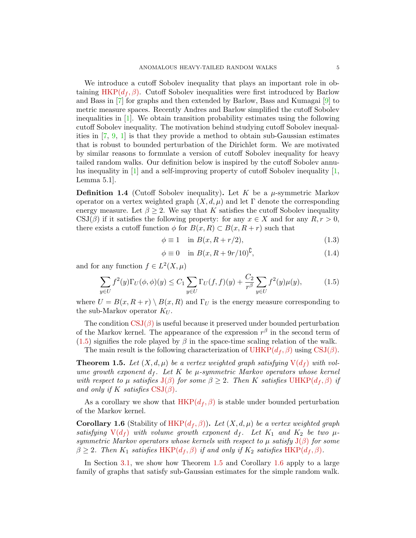We introduce a cutoff Sobolev inequality that plays an important role in ob-taining [HKP\(](#page-3-1) $d_f$ ,  $\beta$ ). Cutoff Sobolev inequalities were first introduced by Barlow and Bass in [\[7\]](#page-25-11) for graphs and then extended by Barlow, Bass and Kumagai [\[9\]](#page-25-8) to metric measure spaces. Recently Andres and Barlow simplified the cutoff Sobolev inequalities in [\[1\]](#page-24-1). We obtain transition probability estimates using the following cutoff Sobolev inequality. The motivation behind studying cutoff Sobolev inequalities in [\[7,](#page-25-11) [9,](#page-25-8) [1\]](#page-24-1) is that they provide a method to obtain sub-Gaussian estimates that is robust to bounded perturbation of the Dirichlet form. We are motivated by similar reasons to formulate a version of cutoff Sobolev inequality for heavy tailed random walks. Our definition below is inspired by the cutoff Sobolev annulus inequality in  $[1]$  and a self-improving property of cutoff Sobolev inequality  $[1]$ , Lemma 5.1].

<span id="page-4-0"></span>**Definition 1.4** (Cutoff Sobolev inequality). Let K be a  $\mu$ -symmetric Markov operator on a vertex weighted graph  $(X, d, \mu)$  and let  $\Gamma$  denote the corresponding energy measure. Let  $\beta \geq 2$ . We say that K satisfies the cutoff Sobolev inequality  $\text{CSJ}(\beta)$  if it satisfies the following property: for any  $x \in X$  and for any  $R, r > 0$ , there exists a cutoff function  $\phi$  for  $B(x, R) \subset B(x, R+r)$  such that

$$
\phi \equiv 1 \quad \text{in } B(x, R + r/2), \tag{1.3}
$$

<span id="page-4-4"></span>
$$
\phi \equiv 0 \quad \text{in } B(x, R + 9r/10)^{\complement}, \tag{1.4}
$$

and for any function  $f \in L^2(X, \mu)$ 

<span id="page-4-1"></span>
$$
\sum_{y \in U} f^{2}(y) \Gamma_{U}(\phi, \phi)(y) \le C_{1} \sum_{y \in U} \Gamma_{U}(f, f)(y) + \frac{C_{2}}{r^{\beta}} \sum_{y \in U} f^{2}(y) \mu(y), \tag{1.5}
$$

where  $U = B(x, R + r) \setminus B(x, R)$  and  $\Gamma_U$  is the energy measure corresponding to the sub-Markov operator  $K_U$ .

The condition  $CSJ(\beta)$  $CSJ(\beta)$  is useful because it preserved under bounded perturbation of the Markov kernel. The appearance of the expression  $r^{\beta}$  in the second term of  $(1.5)$  signifies the role played by  $\beta$  in the space-time scaling relation of the walk.

The main result is the following characterization of  $UHKP(d_f, \beta)$  $UHKP(d_f, \beta)$  using [CSJ\(](#page-4-0) $\beta$ ).

<span id="page-4-2"></span>**Theorem 1.5.** Let  $(X, d, \mu)$  be a vertex weighted graph satisfying  $V(d_f)$  $V(d_f)$  with volume growth exponent  $d_f$ . Let K be  $\mu$ -symmetric Markov operators whose kernel with respect to  $\mu$  satisfies  $J(\beta)$  $J(\beta)$  for some  $\beta \geq 2$ . Then K satisfies [UHKP\(](#page-3-2) $d_f, \beta$ ) if and only if K satisfies  $CSJ(\beta)$  $CSJ(\beta)$ .

As a corollary we show that  $HKP(d_f, \beta)$  $HKP(d_f, \beta)$  is stable under bounded perturbation of the Markov kernel.

<span id="page-4-3"></span>**Corollary 1.6** (Stability of HKP $(d_f, \beta)$ ). Let  $(X, d, \mu)$  be a vertex weighted graph satisfying  $V(d_f)$  $V(d_f)$  with volume growth exponent  $d_f$ . Let  $K_1$  and  $K_2$  be two  $\mu$ symmetric Markov operators whose kernels with respect to  $\mu$  satisfy  $J(\beta)$  $J(\beta)$  for some  $\beta \geq 2$ . Then  $K_1$  satisfies [HKP\(](#page-3-1) $d_f$ ,  $\beta$ ) if and only if  $K_2$  satisfies HKP( $d_f$ ,  $\beta$ ).

In Section [3.1,](#page-22-2) we show how Theorem [1.5](#page-4-2) and Corollary [1.6](#page-4-3) apply to a large family of graphs that satisfy sub-Gaussian estimates for the simple random walk.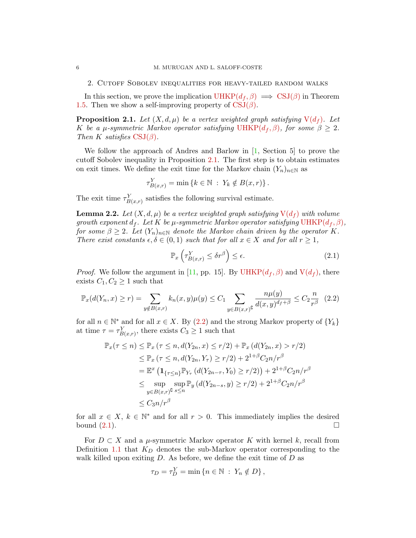<span id="page-5-4"></span>2. Cutoff Sobolev inequalities for heavy-tailed random walks

In this section, we prove the implication  $UHKP(d_f, \beta) \implies \text{CSJ}(\beta)$  $UHKP(d_f, \beta) \implies \text{CSJ}(\beta)$  in Theorem [1.5.](#page-4-2) Then we show a self-improving property of  $CSJ(\beta)$  $CSJ(\beta)$ .

<span id="page-5-0"></span>**Proposition 2.1.** Let  $(X, d, \mu)$  be a vertex weighted graph satisfying  $V(d_f)$  $V(d_f)$ . Let K be a  $\mu$ -symmetric Markov operator satisfying [UHKP\(](#page-3-2) $d_f, \beta$ ), for some  $\beta \geq 2$ . Then K satisfies  $CSJ(\beta)$  $CSJ(\beta)$ .

We follow the approach of Andres and Barlow in [\[1,](#page-24-1) Section 5] to prove the cutoff Sobolev inequality in Proposition [2.1.](#page-5-0) The first step is to obtain estimates on exit times. We define the exit time for the Markov chain  $(Y_n)_{n\in\mathbb{N}}$  as

$$
\tau_{B(x,r)}^Y = \min\left\{k \in \mathbb{N} : Y_k \notin B(x,r)\right\}.
$$

The exit time  $\tau_{B(x,r)}^Y$  satisfies the following survival estimate.

<span id="page-5-3"></span>**Lemma 2.2.** Let  $(X, d, \mu)$  be a vertex weighted graph satisfying  $V(d_f)$  $V(d_f)$  with volume growth exponent  $d_f$ . Let K be  $\mu$ -symmetric Markov operator satisfying [UHKP\(](#page-3-2) $d_f$ ,  $\beta$ ), for some  $\beta \geq 2$ . Let  $(Y_n)_{n \in \mathbb{N}}$  denote the Markov chain driven by the operator K. There exist constants  $\epsilon, \delta \in (0,1)$  such that for all  $x \in X$  and for all  $r \geq 1$ ,

<span id="page-5-2"></span>
$$
\mathbb{P}_x\left(\tau_{B(x,r)}^Y \le \delta r^\beta\right) \le \epsilon. \tag{2.1}
$$

*Proof.* We follow the argument in [\[11,](#page-25-9) pp. 15]. By [UHKP\(](#page-3-2) $d_f$ ,  $\beta$ ) and  $V(d_f)$  $V(d_f)$ , there exists  $C_1, C_2 \geq 1$  such that

<span id="page-5-1"></span>
$$
\mathbb{P}_x(d(Y_n, x) \ge r) = \sum_{y \notin B(x, r)} k_n(x, y) \mu(y) \le C_1 \sum_{y \in B(x, r)} \frac{n\mu(y)}{d(x, y)^{d_f + \beta}} \le C_2 \frac{n}{r^{\beta}} \tag{2.2}
$$

for all  $n \in \mathbb{N}^*$  and for all  $x \in X$ . By  $(2.2)$  and the strong Markov property of  $\{Y_k\}$ at time  $\tau = \tau_{B(x,r)}^Y$ , there exists  $C_3 \ge 1$  such that

$$
\mathbb{P}_x(\tau \le n) \le \mathbb{P}_x (\tau \le n, d(Y_{2n}, x) \le r/2) + \mathbb{P}_x (d(Y_{2n}, x) > r/2)
$$
  
\n
$$
\le \mathbb{P}_x (\tau \le n, d(Y_{2n}, Y_\tau) \ge r/2) + 2^{1+\beta} C_{2n}/r^{\beta}
$$
  
\n
$$
= \mathbb{E}^x (1_{\{\tau \le n\}} \mathbb{P}_{Y_\tau} (d(Y_{2n-\tau}, Y_0) \ge r/2)) + 2^{1+\beta} C_{2n}/r^{\beta}
$$
  
\n
$$
\le \sup_{y \in B(x,r)} \sup_{s \le n} \mathbb{P}_y (d(Y_{2n-s}, y) \ge r/2) + 2^{1+\beta} C_{2n}/r^{\beta}
$$
  
\n
$$
\le C_3 n/r^{\beta}
$$

for all  $x \in X$ ,  $k \in \mathbb{N}^*$  and for all  $r > 0$ . This immediately implies the desired bound  $(2.1)$ .

For  $D \subset X$  and a  $\mu$ -symmetric Markov operator K with kernel k, recall from Definition [1.1](#page-2-1) that  $K_D$  denotes the sub-Markov operator corresponding to the walk killed upon exiting  $D$ . As before, we define the exit time of  $D$  as

$$
\tau_D = \tau_D^Y = \min \left\{ n \in \mathbb{N} \; : \; Y_n \notin D \right\},\
$$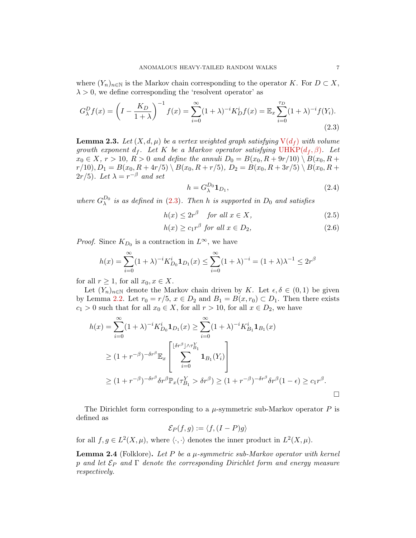where  $(Y_n)_{n\in\mathbb{N}}$  is the Markov chain corresponding to the operator K. For  $D\subset X$ ,  $\lambda > 0$ , we define corresponding the 'resolvent operator' as

<span id="page-6-0"></span>
$$
G_{\lambda}^{D}f(x) = \left(I - \frac{K_D}{1+\lambda}\right)^{-1} f(x) = \sum_{i=0}^{\infty} (1+\lambda)^{-i} K_D^i f(x) = \mathbb{E}_x \sum_{i=0}^{\tau_D} (1+\lambda)^{-i} f(Y_i).
$$
\n(2.3)

<span id="page-6-2"></span>**Lemma 2.3.** Let  $(X, d, \mu)$  be a vertex weighted graph satisfying  $V(d_f)$  $V(d_f)$  with volume growth exponent  $d_f$ . Let K be a Markov operator satisfying [UHKP\(](#page-3-2) $d_f$ ,  $\beta$ ). Let  $x_0 \in X$ ,  $r > 10$ ,  $R > 0$  and define the annuli  $D_0 = B(x_0, R + 9r/10) \setminus B(x_0, R +$  $r/10$ ,  $D_1 = B(x_0, R + 4r/5) \setminus B(x_0, R + r/5)$ ,  $D_2 = B(x_0, R + 3r/5) \setminus B(x_0, R + r/5)$  $2r/5$ ). Let  $\lambda = r^{-\beta}$  and set

$$
h = G_{\lambda}^{D_0} \mathbf{1}_{D_1},\tag{2.4}
$$

where  $G_{\lambda}^{D_0}$  is as defined in [\(2.3\)](#page-6-0). Then h is supported in  $D_0$  and satisfies

$$
h(x) \le 2r^{\beta} \quad \text{for all } x \in X,\tag{2.5}
$$

$$
h(x) \ge c_1 r^{\beta} \text{ for all } x \in D_2,
$$
\n(2.6)

*Proof.* Since  $K_{D_0}$  is a contraction in  $L^{\infty}$ , we have

$$
h(x) = \sum_{i=0}^{\infty} (1 + \lambda)^{-i} K_{D_0}^i \mathbf{1}_{D_1}(x) \le \sum_{i=0}^{\infty} (1 + \lambda)^{-i} = (1 + \lambda)\lambda^{-1} \le 2r^{\beta}
$$

for all  $r \geq 1$ , for all  $x_0, x \in X$ .

Let  $(Y_n)_{n\in\mathbb{N}}$  denote the Markov chain driven by K. Let  $\epsilon, \delta \in (0,1)$  be given by Lemma [2.2.](#page-5-3) Let  $r_0 = r/5$ ,  $x \in D_2$  and  $B_1 = B(x, r_0) \subset D_1$ . Then there exists  $c_1 > 0$  such that for all  $x_0 \in X$ , for all  $r > 10$ , for all  $x \in D_2$ , we have

$$
h(x) = \sum_{i=0}^{\infty} (1+\lambda)^{-i} K_{D_0}^i \mathbf{1}_{D_1}(x) \ge \sum_{i=0}^{\infty} (1+\lambda)^{-i} K_{B_1}^i \mathbf{1}_{B_1}(x)
$$
  
\n
$$
\ge (1+r^{-\beta})^{-\delta r^{\beta}} \mathbb{E}_x \left[ \sum_{i=0}^{\lfloor \delta r^{\beta} \rfloor \wedge \tau_{B_1}^Y} \mathbf{1}_{B_1}(Y_i) \right]
$$
  
\n
$$
\ge (1+r^{-\beta})^{-\delta r^{\beta}} \delta r^{\beta} \mathbb{P}_x(\tau_{B_1}^Y > \delta r^{\beta}) \ge (1+r^{-\beta})^{-\delta r^{\beta}} \delta r^{\beta} (1-\epsilon) \ge c_1 r^{\beta}.
$$

The Dirichlet form corresponding to a  $\mu$ -symmetric sub-Markov operator P is defined as

$$
\mathcal{E}_P(f,g) := \langle f, (I-P)g \rangle
$$

for all  $f, g \in L^2(X, \mu)$ , where  $\langle \cdot, \cdot \rangle$  denotes the inner product in  $L^2(X, \mu)$ .

<span id="page-6-1"></span>**Lemma 2.4** (Folklore). Let P be a  $\mu$ -symmetric sub-Markov operator with kernel p and let  $\mathcal{E}_P$  and  $\Gamma$  denote the corresponding Dirichlet form and energy measure respectively.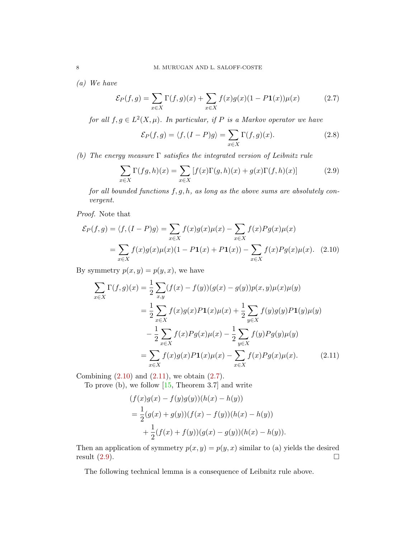(a) We have

<span id="page-7-2"></span>
$$
\mathcal{E}_P(f,g) = \sum_{x \in X} \Gamma(f,g)(x) + \sum_{x \in X} f(x)g(x)(1 - P\mathbf{1}(x))\mu(x) \tag{2.7}
$$

for all  $f, g \in L^2(X, \mu)$ . In particular, if P is a Markov operator we have

<span id="page-7-0"></span>
$$
\mathcal{E}_P(f,g) = \langle f, (I-P)g \rangle = \sum_{x \in X} \Gamma(f,g)(x). \tag{2.8}
$$

(b) The energy measure  $\Gamma$  satisfies the integrated version of Leibnitz rule

<span id="page-7-3"></span>
$$
\sum_{x \in X} \Gamma(fg, h)(x) = \sum_{x \in X} [f(x)\Gamma(g, h)(x) + g(x)\Gamma(f, h)(x)] \tag{2.9}
$$

for all bounded functions  $f, g, h$ , as long as the above sums are absolutely convergent.

Proof. Note that

$$
\mathcal{E}_P(f,g) = \langle f, (I - P)g \rangle = \sum_{x \in X} f(x)g(x)\mu(x) - \sum_{x \in X} f(x)Pg(x)\mu(x)
$$

$$
= \sum_{x \in X} f(x)g(x)\mu(x)(1 - P1(x) + P1(x)) - \sum_{x \in X} f(x)Pg(x)\mu(x). \quad (2.10)
$$

By symmetry  $p(\boldsymbol{x}, \boldsymbol{y}) = p(\boldsymbol{y}, \boldsymbol{x}),$  we have

$$
\sum_{x \in X} \Gamma(f, g)(x) = \frac{1}{2} \sum_{x, y} (f(x) - f(y))(g(x) - g(y))p(x, y)\mu(x)\mu(y)
$$
  
\n
$$
= \frac{1}{2} \sum_{x \in X} f(x)g(x)P\mathbf{1}(x)\mu(x) + \frac{1}{2} \sum_{y \in X} f(y)g(y)P\mathbf{1}(y)\mu(y)
$$
  
\n
$$
- \frac{1}{2} \sum_{x \in X} f(x)Pg(x)\mu(x) - \frac{1}{2} \sum_{y \in X} f(y)Pg(y)\mu(y)
$$
  
\n
$$
= \sum_{x \in X} f(x)g(x)P\mathbf{1}(x)\mu(x) - \sum_{x \in X} f(x)Pg(x)\mu(x). \tag{2.11}
$$

Combining  $(2.10)$  and  $(2.11)$ , we obtain  $(2.7)$ .

To prove (b), we follow  $[15,$  Theorem 3.7] and write

<span id="page-7-1"></span>
$$
(f(x)g(x) - f(y)g(y))(h(x) - h(y))
$$
  
=  $\frac{1}{2}(g(x) + g(y))(f(x) - f(y))(h(x) - h(y))$   
+  $\frac{1}{2}(f(x) + f(y))(g(x) - g(y))(h(x) - h(y)).$ 

Then an application of symmetry  $p(x, y) = p(y, x)$  similar to (a) yields the desired result  $(2.9)$ .

The following technical lemma is a consequence of Leibnitz rule above.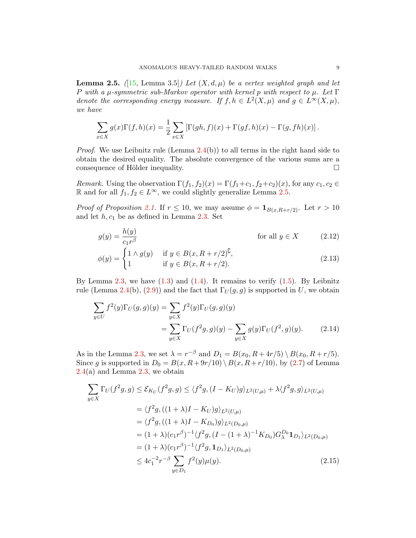<span id="page-8-0"></span>**Lemma 2.5.** ([\[15,](#page-25-12) Lemma 3.5]) Let  $(X, d, \mu)$  be a vertex weighted graph and let P with a  $\mu$ -symmetric sub-Markov operator with kernel p with respect to  $\mu$ . Let  $\Gamma$ denote the corresponding energy measure. If  $f, h \in L^2(X, \mu)$  and  $g \in L^{\infty}(X, \mu)$ , we have

$$
\sum_{x \in X} g(x) \Gamma(f, h)(x) = \frac{1}{2} \sum_{x \in X} \left[ \Gamma(gh, f)(x) + \Gamma(gf, h)(x) - \Gamma(g, fh)(x) \right].
$$

*Proof.* We use Leibnitz rule (Lemma  $2.4(b)$  $2.4(b)$ ) to all terms in the right hand side to obtain the desired equality. The absolute convergence of the various sums are a consequence of Hölder inequality.  $\Box$ 

Remark. Using the observation  $\Gamma(f_1, f_2)(x) = \Gamma(f_1+c_1, f_2+c_2)(x)$ , for any  $c_1, c_2 \in$ R and for all  $f_1, f_2 \n∈ L<sup>∞</sup>$ , we could slightly generalize Lemma [2.5.](#page-8-0)

*Proof of Proposition [2.1.](#page-5-0)* If  $r \leq 10$ , we may assume  $\phi = \mathbf{1}_{B(x,R+r/2)}$ . Let  $r > 10$ and let  $h, c_1$  be as defined in Lemma [2.3.](#page-6-2) Set

$$
g(y) = \frac{h(y)}{c_1 r^{\beta}}
$$
 for all  $y \in X$  (2.12)  
\n
$$
\phi(y) = \begin{cases} 1 \wedge g(y) & \text{if } y \in B(x, R+r/2)^{\complement}, \\ 1 & \text{if } y \in B(x, R+r/2)^{\complement}, \end{cases}
$$
 (2.13)

$$
\phi(y) = \begin{cases} 1 \wedge y(y) & \text{if } y \in B(x, R + r/2), \\ 1 & \text{if } y \in B(x, R + r/2). \end{cases}
$$
 (2.13)

By Lemma  $2.3$ , we have  $(1.3)$  and  $(1.4)$ . It remains to verify  $(1.5)$ . By Leibnitz rule (Lemma [2.4\(](#page-6-1)b), [\(2.9\)](#page-7-3)) and the fact that  $\Gamma_U(g, g)$  is supported in U, we obtain

<span id="page-8-1"></span>
$$
\sum_{y \in U} f^{2}(y) \Gamma_{U}(g, g)(y) = \sum_{y \in X} f^{2}(y) \Gamma_{U}(g, g)(y)
$$
  
= 
$$
\sum_{y \in X} \Gamma_{U}(f^{2}g, g)(y) - \sum_{y \in X} g(y) \Gamma_{U}(f^{2}, g)(y).
$$
 (2.14)

As in the Lemma [2.3,](#page-6-2) we set  $\lambda = r^{-\beta}$  and  $D_1 = B(x_0, R + 4r/5) \setminus B(x_0, R + r/5)$ . Since g is supported in  $D_0 = B(x, R + 9r/10) \setminus B(x, R + r/10)$ , by [\(2.7\)](#page-7-2) of Lemma  $2.4(a)$  $2.4(a)$  and Lemma  $2.3$ , we obtain

<span id="page-8-2"></span>
$$
\sum_{y \in X} \Gamma_U(f^2 g, g) \leq \mathcal{E}_{K_U}(f^2 g, g) \leq \langle f^2 g, (I - K_U)g \rangle_{L^2(U, \mu)} + \lambda \langle f^2 g, g \rangle_{L^2(U, \mu)}
$$
\n
$$
= \langle f^2 g, ((1 + \lambda)I - K_{U})g \rangle_{L^2(U, \mu)}
$$
\n
$$
= \langle f^2 g, ((1 + \lambda)I - K_{D_0})g \rangle_{L^2(D_0, \mu)}
$$
\n
$$
= (1 + \lambda)(c_1 r^\beta)^{-1} \langle f^2 g, (I - (1 + \lambda)^{-1} K_{D_0}) G_{\lambda}^{D_0} \mathbf{1}_{D_1} \rangle_{L^2(D_0, \mu)}
$$
\n
$$
= (1 + \lambda)(c_1 r^\beta)^{-1} \langle f^2 g, \mathbf{1}_{D_1} \rangle_{L^2(D_0, \mu)}
$$
\n
$$
\leq 4c_1^{-2} r^{-\beta} \sum_{y \in D_1} f^2(y) \mu(y). \tag{2.15}
$$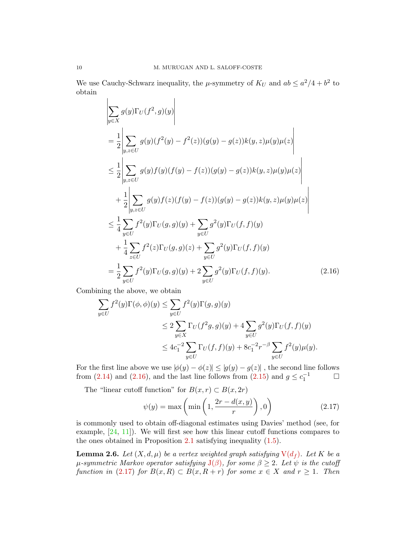We use Cauchy-Schwarz inequality, the  $\mu$ -symmetry of  $K_U$  and  $ab \leq a^2/4 + b^2$  to obtain

$$
\left| \sum_{y \in X} g(y) \Gamma_{U}(f^{2}, g)(y) \right|
$$
\n
$$
= \frac{1}{2} \left| \sum_{y,z \in U} g(y)(f^{2}(y) - f^{2}(z))(g(y) - g(z))k(y,z)\mu(y)\mu(z) \right|
$$
\n
$$
\leq \frac{1}{2} \left| \sum_{y,z \in U} g(y)f(y)(f(y) - f(z))(g(y) - g(z))k(y,z)\mu(y)\mu(z) \right|
$$
\n
$$
+ \frac{1}{2} \left| \sum_{y,z \in U} g(y)f(z)(f(y) - f(z))(g(y) - g(z))k(y,z)\mu(y)\mu(z) \right|
$$
\n
$$
\leq \frac{1}{4} \sum_{y \in U} f^{2}(y)\Gamma_{U}(g,g)(y) + \sum_{y \in U} g^{2}(y)\Gamma_{U}(f,f)(y)
$$
\n
$$
+ \frac{1}{4} \sum_{z \in U} f^{2}(z)\Gamma_{U}(g,g)(z) + \sum_{y \in U} g^{2}(y)\Gamma_{U}(f,f)(y)
$$
\n
$$
= \frac{1}{2} \sum_{y \in U} f^{2}(y)\Gamma_{U}(g,g)(y) + 2 \sum_{y \in U} g^{2}(y)\Gamma_{U}(f,f)(y).
$$
\n(2.16)

Combining the above, we obtain

$$
\sum_{y \in U} f^{2}(y)\Gamma(\phi,\phi)(y) \leq \sum_{y \in U} f^{2}(y)\Gamma(g,g)(y)
$$
\n
$$
\leq 2 \sum_{y \in X} \Gamma_{U}(f^{2}g,g)(y) + 4 \sum_{y \in U} g^{2}(y)\Gamma_{U}(f,f)(y)
$$
\n
$$
\leq 4c_{1}^{-2} \sum_{y \in U} \Gamma_{U}(f,f)(y) + 8c_{1}^{-2}r^{-\beta} \sum_{y \in U} f^{2}(y)\mu(y).
$$

For the first line above we use  $|\phi(y) - \phi(z)| \le |g(y) - g(z)|$ , the second line follows from [\(2.14\)](#page-8-1) and [\(2.16\)](#page-9-0), and the last line follows from [\(2.15\)](#page-8-2) and  $g \leq c_1^{-1}$ 

The "linear cutoff function" for  $B(x, r) \subset B(x, 2r)$ 

<span id="page-9-1"></span><span id="page-9-0"></span>
$$
\psi(y) = \max\left(\min\left(1, \frac{2r - d(x, y)}{r}\right), 0\right) \tag{2.17}
$$

is commonly used to obtain off-diagonal estimates using Davies' method (see, for example, [\[24,](#page-25-13) [11\]](#page-25-9)). We will first see how this linear cutoff functions compares to the ones obtained in Proposition [2.1](#page-5-0) satisfying inequality [\(1.5\)](#page-4-1).

<span id="page-9-2"></span>**Lemma 2.6.** Let  $(X, d, \mu)$  be a vertex weighted graph satisfying  $V(d_f)$  $V(d_f)$ . Let K be a  $\mu$ -symmetric Markov operator satisfying  $J(\beta)$  $J(\beta)$ , for some  $\beta \geq 2$ . Let  $\psi$  is the cutoff function in [\(2.17\)](#page-9-1) for  $B(x, R) \subset B(x, R+r)$  for some  $x \in X$  and  $r \geq 1$ . Then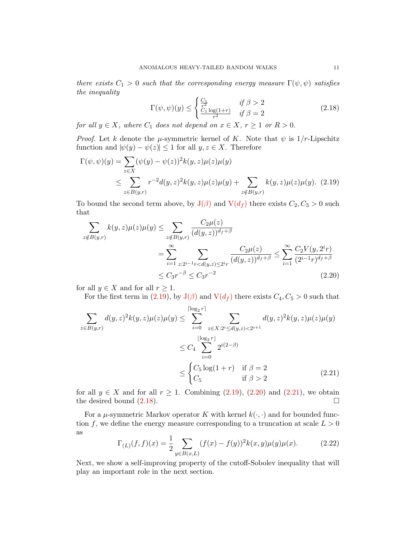there exists  $C_1 > 0$  such that the corresponding energy measure  $\Gamma(\psi, \psi)$  satisfies the inequality

<span id="page-10-3"></span><span id="page-10-0"></span>
$$
\Gamma(\psi,\psi)(y) \le \begin{cases} \frac{C_1}{r^2} & \text{if } \beta > 2\\ \frac{C_1 \log(1+r)}{r^2} & \text{if } \beta = 2 \end{cases} \tag{2.18}
$$

for all  $y \in X$ , where  $C_1$  does not depend on  $x \in X$ ,  $r \ge 1$  or  $R > 0$ .

*Proof.* Let k denote the  $\mu$ -symmetric kernel of K. Note that  $\psi$  is  $1/r$ -Lipschitz function and  $|\psi(y) - \psi(z)| \leq 1$  for all  $y, z \in X$ . Therefore

$$
\Gamma(\psi, \psi)(y) = \sum_{z \in X} (\psi(y) - \psi(z))^2 k(y, z) \mu(z) \mu(y)
$$
  
\n
$$
\leq \sum_{z \in B(y,r)} r^{-2} d(y, z)^2 k(y, z) \mu(z) \mu(y) + \sum_{z \notin B(y,r)} k(y, z) \mu(z) \mu(y). \tag{2.19}
$$

To bound the second term above, by  $J(\beta)$  $J(\beta)$  and  $V(d_f)$  $V(d_f)$  there exists  $C_2, C_3 > 0$  such that

$$
\sum_{z \notin B(y,r)} k(y,z)\mu(z)\mu(y) \le \sum_{z \notin B(y,r)} \frac{C_2\mu(z)}{(d(y,z))^{d_f+\beta}}
$$
  
= 
$$
\sum_{i=1}^{\infty} \sum_{z:2^{i-1}r < d(y,z) \le 2^{i_r}} \frac{C_2\mu(z)}{(d(y,z))^{d_f+\beta}} \le \sum_{i=1}^{\infty} \frac{C_2V(y,2^{i_r})}{(2^{i-1_r})^{d_f+\beta}}
$$
  

$$
\le C_3 r^{-\beta} \le C_3 r^{-2}
$$
(2.20)

for all  $y \in X$  and for all  $r \geq 1$ .

<span id="page-10-1"></span>For the first term in [\(2.19\)](#page-10-0), by  $J(\beta)$  $J(\beta)$  and  $V(d_f)$  $V(d_f)$  there exists  $C_4, C_5 > 0$  such that

$$
\sum_{z \in B(y,r)} d(y,z)^2 k(y,z) \mu(z) \mu(y) \le \sum_{i=0}^{\lceil \log_2 r \rceil} \sum_{z \in X : 2^i \le d(y,z) < 2^{i+1}} d(y,z)^2 k(y,z) \mu(z) \mu(y) \\
\le C_4 \sum_{i=0}^{\lfloor \log_2 r \rfloor} 2^{i(2-\beta)} \\
\le \begin{cases} C_5 \log(1+r) & \text{if } \beta = 2 \\ C_5 & \text{if } \beta > 2 \end{cases} \tag{2.21}
$$

for all  $y \in X$  and for all  $r \geq 1$ . Combining  $(2.19)$ ,  $(2.20)$  and  $(2.21)$ , we obtain the desired bound  $(2.18)$ .

For a  $\mu$ -symmetric Markov operator K with kernel  $k(\cdot, \cdot)$  and for bounded function f, we define the energy measure corresponding to a truncation at scale  $L > 0$ as

<span id="page-10-4"></span><span id="page-10-2"></span>
$$
\Gamma_{(L)}(f,f)(x) = \frac{1}{2} \sum_{y \in B(x,L)} (f(x) - f(y))^2 k(x,y) \mu(y) \mu(x).
$$
 (2.22)

Next, we show a self-improving property of the cutoff-Sobolev inequality that will play an important role in the next section.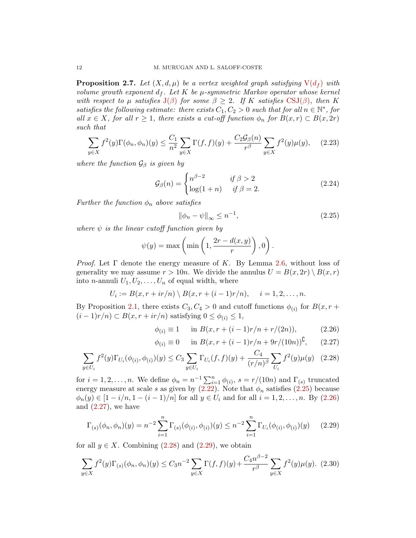<span id="page-11-6"></span>**Proposition 2.7.** Let  $(X, d, \mu)$  be a vertex weighted graph satisfying  $V(d_f)$  $V(d_f)$  with volume growth exponent  $d_f$ . Let K be  $\mu$ -symmetric Markov operator whose kernel with respect to  $\mu$  satisfies  $J(\beta)$  $J(\beta)$  for some  $\beta \geq 2$ . If K satisfies [CSJ\(](#page-4-0) $\beta$ ), then K satisfies the following estimate: there exists  $C_1, C_2 > 0$  such that for all  $n \in \mathbb{N}^*$ , for all  $x \in X$ , for all  $r \geq 1$ , there exists a cut-off function  $\phi_n$  for  $B(x,r) \subset B(x, 2r)$ such that

$$
\sum_{y \in X} f^2(y) \Gamma(\phi_n, \phi_n)(y) \le \frac{C_1}{n^2} \sum_{y \in X} \Gamma(f, f)(y) + \frac{C_2 \mathcal{G}_\beta(n)}{r^\beta} \sum_{y \in X} f^2(y) \mu(y), \quad (2.23)
$$

where the function  $\mathcal{G}_{\beta}$  is given by

$$
\mathcal{G}_{\beta}(n) = \begin{cases} n^{\beta - 2} & \text{if } \beta > 2\\ \log(1 + n) & \text{if } \beta = 2. \end{cases}
$$
 (2.24)

Further the function  $\phi_n$  above satisfies

<span id="page-11-0"></span>
$$
\|\phi_n - \psi\|_{\infty} \le n^{-1},\tag{2.25}
$$

where  $\psi$  is the linear cutoff function given by

$$
\psi(y) = \max\left(\min\left(1, \frac{2r - d(x, y)}{r}\right), 0\right).
$$

*Proof.* Let  $\Gamma$  denote the energy measure of K. By Lemma [2.6,](#page-9-2) without loss of generality we may assume  $r > 10n$ . We divide the annulus  $U = B(x, 2r) \setminus B(x, r)$ into *n*-annuli  $U_1, U_2, \ldots, U_n$  of equal width, where

$$
U_i := B(x, r + ir/n) \setminus B(x, r + (i-1)r/n), \quad i = 1, 2, ..., n.
$$

By Proposition [2.1,](#page-5-0) there exists  $C_3, C_4 > 0$  and cutoff functions  $\phi_{(i)}$  for  $B(x, r +$  $(i-1)r/n \subset B(x, r + ir/n)$  satisfying  $0 \leq \phi_{(i)} \leq 1$ ,

<span id="page-11-1"></span>
$$
\phi_{(i)} \equiv 1 \quad \text{in } B(x, r + (i - 1)r/n + r/(2n)), \tag{2.26}
$$

<span id="page-11-3"></span><span id="page-11-2"></span>
$$
\phi_{(i)} \equiv 0 \quad \text{in } B(x, r + (i - 1)r/n + 9r/(10n))^{\mathbb{C}}, \qquad (2.27)
$$

$$
\sum_{y \in U_i} f^2(y) \Gamma_{U_i}(\phi_{(i)}, \phi_{(i)})(y) \le C_3 \sum_{y \in U_i} \Gamma_{U_i}(f, f)(y) + \frac{C_4}{(r/n)^{\beta}} \sum_{U_i} f^2(y) \mu(y) \tag{2.28}
$$

for  $i = 1, 2, ..., n$ . We define  $\phi_n = n^{-1} \sum_{i=1}^n \phi_{(i)}, s = r/(10n)$  and  $\Gamma_{(s)}$  truncated energy measure at scale s as given by  $(2.22)$ . Note that  $\phi_n$  satisfies  $(2.25)$  because  $\phi_n(y) \in [1 - i/n, 1 - (i - 1)/n]$  for all  $y \in U_i$  and for all  $i = 1, 2, ..., n$ . By [\(2.26\)](#page-11-1) and  $(2.27)$ , we have

<span id="page-11-4"></span>
$$
\Gamma_{(s)}(\phi_n, \phi_n)(y) = n^{-2} \sum_{i=1}^n \Gamma_{(s)}(\phi_{(i)}, \phi_{(i)})(y) \le n^{-2} \sum_{i=1}^n \Gamma_{U_i}(\phi_{(i)}, \phi_{(i)})(y) \tag{2.29}
$$

for all  $y \in X$ . Combining  $(2.28)$  and  $(2.29)$ , we obtain

<span id="page-11-5"></span>
$$
\sum_{y \in X} f^2(y) \Gamma_{(s)}(\phi_n, \phi_n)(y) \le C_3 n^{-2} \sum_{y \in X} \Gamma(f, f)(y) + \frac{C_4 n^{\beta - 2}}{r^{\beta}} \sum_{y \in X} f^2(y) \mu(y). \tag{2.30}
$$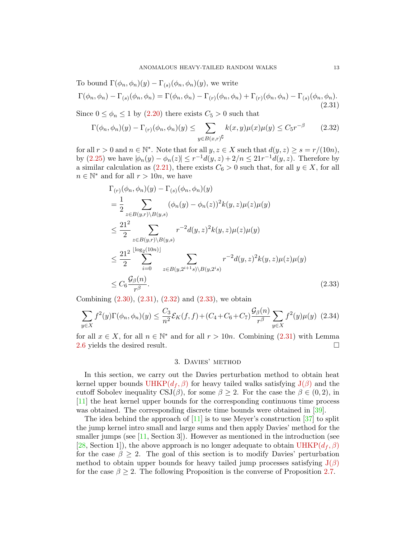To bound  $\Gamma(\phi_n, \phi_n)(y) - \Gamma_{(s)}(\phi_n, \phi_n)(y)$ , we write

<span id="page-12-0"></span>
$$
\Gamma(\phi_n, \phi_n) - \Gamma_{(s)}(\phi_n, \phi_n) = \Gamma(\phi_n, \phi_n) - \Gamma_{(r)}(\phi_n, \phi_n) + \Gamma_{(r)}(\phi_n, \phi_n) - \Gamma_{(s)}(\phi_n, \phi_n). \tag{2.31}
$$

Since  $0 \le \phi_n \le 1$  by  $(2.20)$  there exists  $C_5 > 0$  such that

<span id="page-12-1"></span>
$$
\Gamma(\phi_n, \phi_n)(y) - \Gamma_{(r)}(\phi_n, \phi_n)(y) \le \sum_{y \in B(x, r)^\complement} k(x, y)\mu(x)\mu(y) \le C_5 r^{-\beta} \tag{2.32}
$$

for all  $r > 0$  and  $n \in \mathbb{N}^*$ . Note that for all  $y, z \in X$  such that  $d(y, z) \geq s = r/(10n)$ , by [\(2.25\)](#page-11-0) we have  $|\phi_n(y) - \phi_n(z)| \leq r^{-1} d(y, z) + 2/n \leq 21r^{-1} d(y, z)$ . Therefore by a similar calculation as  $(2.21)$ , there exists  $C_6 > 0$  such that, for all  $y \in X$ , for all  $n \in \mathbb{N}^*$  and for all  $r > 10n$ , we have

$$
\Gamma_{(r)}(\phi_n, \phi_n)(y) - \Gamma_{(s)}(\phi_n, \phi_n)(y)
$$
\n
$$
= \frac{1}{2} \sum_{z \in B(y,r) \setminus B(y,s)} (\phi_n(y) - \phi_n(z))^2 k(y,z) \mu(z) \mu(y)
$$
\n
$$
\leq \frac{21^2}{2} \sum_{z \in B(y,r) \setminus B(y,s)} r^{-2} d(y,z)^2 k(y,z) \mu(z) \mu(y)
$$
\n
$$
\leq \frac{21^2}{2} \sum_{i=0}^{\lfloor \log_2(10n) \rfloor} \sum_{z \in B(y,2^{i+1}s) \setminus B(y,2^{i}s)} r^{-2} d(y,z)^2 k(y,z) \mu(z) \mu(y)
$$
\n
$$
\leq C_6 \frac{\mathcal{G}_{\beta}(n)}{r^{\beta}}.
$$
\n(2.33)

Combining  $(2.30), (2.31), (2.32)$  $(2.30), (2.31), (2.32)$  $(2.30), (2.31), (2.32)$  $(2.30), (2.31), (2.32)$  and  $(2.33),$  we obtain

$$
\sum_{y \in X} f^2(y) \Gamma(\phi_n, \phi_n)(y) \le \frac{C_3}{n^2} \mathcal{E}_K(f, f) + (C_4 + C_6 + C_7) \frac{\mathcal{G}_\beta(n)}{r^\beta} \sum_{y \in X} f^2(y) \mu(y) \tag{2.34}
$$

for all  $x \in X$ , for all  $n \in \mathbb{N}^*$  and for all  $r > 10n$ . Combining [\(2.31\)](#page-12-0) with Lemma [2.6](#page-9-2) yields the desired result.

## <span id="page-12-2"></span>3. Davies' method

In this section, we carry out the Davies perturbation method to obtain heat kernel upper bounds  $UHKP(d_f, \beta)$  $UHKP(d_f, \beta)$  for heavy tailed walks satisfying  $J(\beta)$  $J(\beta)$  and the cutoff Sobolev inequality CSJ( $\beta$ ), for some  $\beta \geq 2$ . For the case the  $\beta \in (0, 2)$ , in [\[11\]](#page-25-9) the heat kernel upper bounds for the corresponding continuous time process was obtained. The corresponding discrete time bounds were obtained in [\[39\]](#page-26-9).

The idea behind the approach of  $[11]$  is to use Meyer's construction  $[37]$  to split the jump kernel intro small and large sums and then apply Davies' method for the smaller jumps (see  $[11, Section 3]$ ). However as mentioned in the introduction (see [\[28,](#page-26-10) Section 1]), the above approach is no longer adequate to obtain  $UHKP(d_f, \beta)$  $UHKP(d_f, \beta)$ for the case  $\beta \geq 2$ . The goal of this section is to modify Davies' perturbation method to obtain upper bounds for heavy tailed jump processes satisfying  $J(\beta)$  $J(\beta)$ for the case  $\beta \geq 2$ . The following Proposition is the converse of Proposition [2.7.](#page-11-6)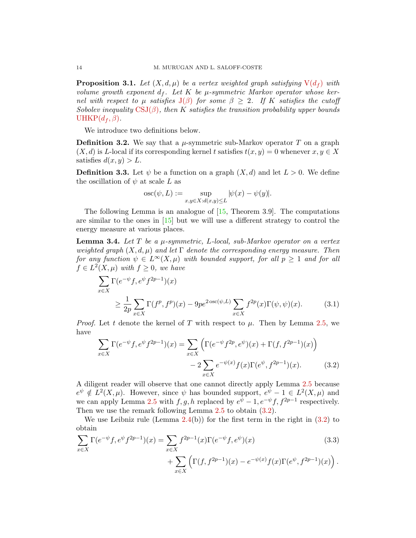<span id="page-13-0"></span>**Proposition 3.1.** Let  $(X, d, \mu)$  be a vertex weighted graph satisfying  $V(d_f)$  $V(d_f)$  with volume growth exponent  $d_f$ . Let K be  $\mu$ -symmetric Markov operator whose kernel with respect to  $\mu$  satisfies  $J(\beta)$  $J(\beta)$  for some  $\beta \geq 2$ . If K satisfies the cutoff Sobolev inequality  $CSJ(\beta)$  $CSJ(\beta)$ , then K satisfies the transition probability upper bounds UHKP $(d_f, \beta)$ .

We introduce two definitions below.

**Definition 3.2.** We say that a  $\mu$ -symmetric sub-Markov operator T on a graph  $(X, d)$  is L-local if its corresponding kernel t satisfies  $t(x, y) = 0$  whenever  $x, y \in X$ satisfies  $d(x, y) > L$ .

**Definition 3.3.** Let  $\psi$  be a function on a graph  $(X, d)$  and let  $L > 0$ . We define the oscillation of  $\psi$  at scale L as

$$
osc(\psi, L) := \sup_{x,y \in X: d(x,y) \leq L} |\psi(x) - \psi(y)|.
$$

The following Lemma is an analogue of  $[15,$  Theorem 3.9. The computations are similar to the ones in [\[15\]](#page-25-12) but we will use a different strategy to control the energy measure at various places.

<span id="page-13-4"></span>**Lemma 3.4.** Let T be a  $\mu$ -symmetric, L-local, sub-Markov operator on a vertex weighted graph  $(X, d, \mu)$  and let  $\Gamma$  denote the corresponding energy measure. Then for any function  $\psi \in L^{\infty}(X,\mu)$  with bounded support, for all  $p \geq 1$  and for all  $f \in L^2(X, \mu)$  with  $f \geq 0$ , we have

$$
\sum_{x \in X} \Gamma(e^{-\psi} f, e^{\psi} f^{2p-1})(x)
$$
\n
$$
\geq \frac{1}{2p} \sum_{x \in X} \Gamma(f^p, f^p)(x) - 9pe^{2\operatorname{osc}(\psi, L)} \sum_{x \in X} f^{2p}(x) \Gamma(\psi, \psi)(x).
$$
\n(3.1)

*Proof.* Let t denote the kernel of T with respect to  $\mu$ . Then by Lemma [2.5,](#page-8-0) we have

$$
\sum_{x \in X} \Gamma(e^{-\psi} f, e^{\psi} f^{2p-1})(x) = \sum_{x \in X} \left( \Gamma(e^{-\psi} f^{2p}, e^{\psi})(x) + \Gamma(f, f^{2p-1})(x) \right) - 2 \sum_{x \in X} e^{-\psi(x)} f(x) \Gamma(e^{\psi}, f^{2p-1})(x).
$$
 (3.2)

A diligent reader will observe that one cannot directly apply Lemma [2.5](#page-8-0) because  $e^{\psi} \notin L^2(X,\mu)$ . However, since  $\psi$  has bounded support,  $e^{\psi} - 1 \in L^2(X,\mu)$  and we can apply Lemma [2.5](#page-8-0) with  $f, g, h$  replaced by  $e^{\psi} - 1, e^{-\psi} f, f^{2p-1}$  respectively. Then we use the remark following Lemma [2.5](#page-8-0) to obtain [\(3.2\)](#page-13-1).

We use Leibniz rule (Lemma  $2.4(b)$  $2.4(b)$ ) for the first term in the right in  $(3.2)$  to obtain

$$
\sum_{x \in X} \Gamma(e^{-\psi} f, e^{\psi} f^{2p-1})(x) = \sum_{x \in X} f^{2p-1}(x) \Gamma(e^{-\psi} f, e^{\psi})(x)
$$
\n(3.3)

$$
+\sum_{x\in X}\Big(\Gamma(f,f^{2p-1})(x)-e^{-\psi(x)}f(x)\Gamma(e^{\psi},f^{2p-1})(x)\Big)
$$

<span id="page-13-3"></span><span id="page-13-2"></span><span id="page-13-1"></span>.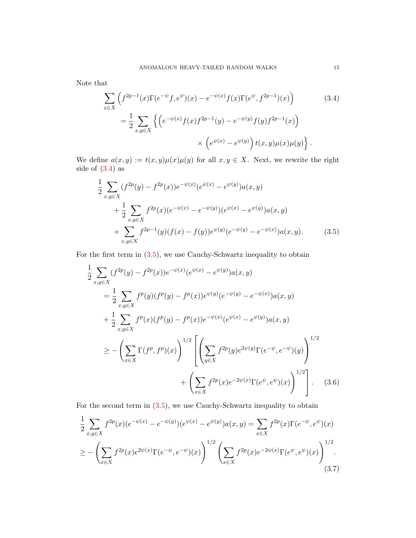Note that

<span id="page-14-0"></span>
$$
\sum_{x \in X} \left( f^{2p-1}(x) \Gamma(e^{-\psi} f, e^{\psi})(x) - e^{-\psi(x)} f(x) \Gamma(e^{\psi}, f^{2p-1})(x) \right)
$$
(3.4)  

$$
= \frac{1}{2} \sum_{x, y \in X} \left\{ \left( e^{-\psi(x)} f(x) f^{2p-1}(y) - e^{-\psi(y)} f(y) f^{2p-1}(x) \right) \right\}
$$

$$
\times \left( e^{\psi(x)} - e^{\psi(y)} \right) t(x, y) \mu(x) \mu(y) \left\} .
$$

We define  $a(x, y) := t(x, y)\mu(x)\mu(y)$  for all  $x, y \in X$ . Next, we rewrite the right side of  $(3.4)$  as

<span id="page-14-1"></span>
$$
\frac{1}{2} \sum_{x,y \in X} (f^{2p}(y) - f^{2p}(x))e^{-\psi(x)}(e^{\psi(x)} - e^{\psi(y)})a(x,y) \n+ \frac{1}{2} \sum_{x,y \in X} f^{2p}(x)(e^{-\psi(x)} - e^{-\psi(y)})(e^{\psi(x)} - e^{\psi(y)})a(x,y) \n+ \sum_{x,y \in X} f^{2p-1}(y)(f(x) - f(y))e^{\psi(y)}(e^{-\psi(y)} - e^{-\psi(x)})a(x,y).
$$
\n(3.5)

For the first term in [\(3.5\)](#page-14-1), we use Cauchy-Schwartz inequality to obtain

$$
\frac{1}{2} \sum_{x,y \in X} (f^{2p}(y) - f^{2p}(x))e^{-\psi(x)}(e^{\psi(x)} - e^{\psi(y)})a(x,y)
$$
\n
$$
= \frac{1}{2} \sum_{x,y \in X} f^{p}(y)(f^{p}(y) - f^{p}(x))e^{\psi(y)}(e^{-\psi(y)} - e^{-\psi(x)})a(x,y)
$$
\n
$$
+ \frac{1}{2} \sum_{x,y \in X} f^{p}(x)(f^{p}(y) - f^{p}(x))e^{-\psi(x)}(e^{\psi(x)} - e^{\psi(y)})a(x,y)
$$
\n
$$
\geq - \left(\sum_{x \in X} \Gamma(f^{p}, f^{p})(x)\right)^{1/2} \left[\left(\sum_{y \in X} f^{2p}(y)e^{2\psi(y)}\Gamma(e^{-\psi}, e^{-\psi})(y)\right)^{1/2} + \left(\sum_{x \in X} f^{2p}(x)e^{-2\psi(x)}\Gamma(e^{\psi}, e^{\psi})(x)\right)^{1/2}\right]. \quad (3.6)
$$

For the second term in [\(3.5\)](#page-14-1), we use Cauchy-Schwartz inequality to obtain

$$
\frac{1}{2} \sum_{x,y \in X} f^{2p}(x) (e^{-\psi(x)} - e^{-\psi(y)}) (e^{\psi(x)} - e^{\psi(y)}) a(x,y) = \sum_{x \in X} f^{2p}(x) \Gamma(e^{-\psi}, e^{\psi})(x)
$$
\n
$$
\geq -\left(\sum_{x \in X} f^{2p}(x) e^{2\psi(x)} \Gamma(e^{-\psi}, e^{-\psi})(x)\right)^{1/2} \left(\sum_{x \in X} f^{2p}(x) e^{-2\psi(x)} \Gamma(e^{\psi}, e^{\psi})(x)\right)^{1/2}.
$$
\n(3.7)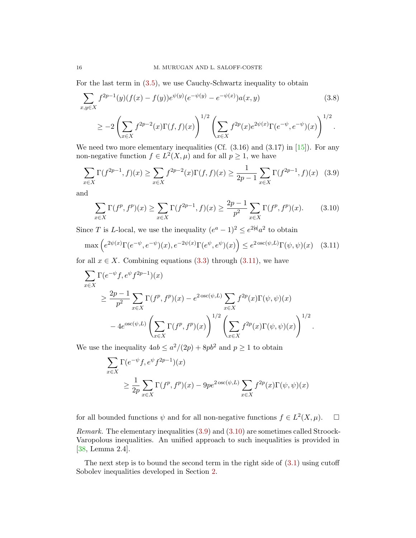For the last term in [\(3.5\)](#page-14-1), we use Cauchy-Schwartz inequality to obtain

$$
\sum_{x,y \in X} f^{2p-1}(y)(f(x) - f(y))e^{\psi(y)}(e^{-\psi(y)} - e^{-\psi(x)})a(x,y) \tag{3.8}
$$

$$
\geq -2\left(\sum_{x\in X} f^{2p-2}(x)\Gamma(f,f)(x)\right)^{1/2}\left(\sum_{x\in X} f^{2p}(x)e^{2\psi(x)}\Gamma(e^{-\psi},e^{-\psi})(x)\right)^{1/2}.
$$

We need two more elementary inequalities (Cf.  $(3.16)$  and  $(3.17)$  in  $[15]$ ). For any non-negative function  $f \in L^2(X, \mu)$  and for all  $p \geq 1$ , we have

<span id="page-15-1"></span>
$$
\sum_{x \in X} \Gamma(f^{2p-1}, f)(x) \ge \sum_{x \in X} f^{2p-2}(x) \Gamma(f, f)(x) \ge \frac{1}{2p-1} \sum_{x \in X} \Gamma(f^{2p-1}, f)(x) \tag{3.9}
$$

and

<span id="page-15-2"></span>
$$
\sum_{x \in X} \Gamma(f^p, f^p)(x) \ge \sum_{x \in X} \Gamma(f^{2p-1}, f)(x) \ge \frac{2p-1}{p^2} \sum_{x \in X} \Gamma(f^p, f^p)(x). \tag{3.10}
$$

Since T is L-local, we use the inequality  $(e^a - 1)^2 \le e^{2|a|} a^2$  to obtain

<span id="page-15-0"></span>
$$
\max\left(e^{2\psi(x)}\Gamma(e^{-\psi},e^{-\psi})(x),e^{-2\psi(x)}\Gamma(e^{\psi},e^{\psi})(x)\right) \leq e^{2\operatorname{osc}(\psi,L)}\Gamma(\psi,\psi)(x) \quad (3.11)
$$

for all  $x \in X$ . Combining equations [\(3.3\)](#page-13-2) through [\(3.11\)](#page-15-0), we have

$$
\sum_{x \in X} \Gamma(e^{-\psi} f, e^{\psi} f^{2p-1})(x)
$$
\n
$$
\geq \frac{2p-1}{p^2} \sum_{x \in X} \Gamma(f^p, f^p)(x) - e^{2 \csc(\psi, L)} \sum_{x \in X} f^{2p}(x) \Gamma(\psi, \psi)(x)
$$
\n
$$
-4e^{\csc(\psi, L)} \left(\sum_{x \in X} \Gamma(f^p, f^p)(x)\right)^{1/2} \left(\sum_{x \in X} f^{2p}(x) \Gamma(\psi, \psi)(x)\right)^{1/2}
$$

We use the inequality  $4ab \leq a^2/(2p) + 8pb^2$  and  $p \geq 1$  to obtain

$$
\sum_{x \in X} \Gamma(e^{-\psi} f, e^{\psi} f^{2p-1})(x)
$$
\n
$$
\geq \frac{1}{2p} \sum_{x \in X} \Gamma(f^p, f^p)(x) - 9pe^{2\operatorname{osc}(\psi, L)} \sum_{x \in X} f^{2p}(x) \Gamma(\psi, \psi)(x)
$$

.

for all bounded functions  $\psi$  and for all non-negative functions  $f \in L^2(X, \mu)$ .  $\Box$ Remark. The elementary inequalities [\(3.9\)](#page-15-1) and [\(3.10\)](#page-15-2) are sometimes called Stroock-Varopolous inequalities. An unified approach to such inequalities is provided in [\[38,](#page-26-14) Lemma 2.4].

The next step is to bound the second term in the right side of  $(3.1)$  using cutoff Sobolev inequalities developed in Section [2.](#page-5-4)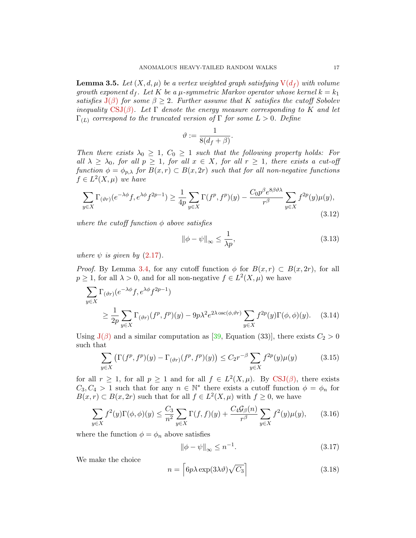<span id="page-16-7"></span>**Lemma 3.5.** Let  $(X, d, \mu)$  be a vertex weighted graph satisfying  $V(d_f)$  $V(d_f)$  with volume growth exponent  $d_f$ . Let K be a  $\mu$ -symmetric Markov operator whose kernel  $k = k_1$ satisfies  $J(\beta)$  $J(\beta)$  for some  $\beta \geq 2$ . Further assume that K satisfies the cutoff Sobolev inequality [CSJ\(](#page-4-0) $\beta$ ). Let  $\Gamma$  denote the energy measure corresponding to K and let  $\Gamma_{(L)}$  correspond to the truncated version of  $\Gamma$  for some  $L > 0$ . Define

$$
\vartheta := \frac{1}{8(d_f + \beta)}.
$$

Then there exists  $\lambda_0 \geq 1$ ,  $C_0 \geq 1$  such that the following property holds: For all  $\lambda \geq \lambda_0$ , for all  $p \geq 1$ , for all  $x \in X$ , for all  $r \geq 1$ , there exists a cut-off function  $\phi = \phi_{p,\lambda}$  for  $B(x,r) \subset B(x,2r)$  such that for all non-negative functions  $f \in L^2(X, \mu)$  we have

<span id="page-16-0"></span>
$$
\sum_{y \in X} \Gamma_{(\vartheta r)}(e^{-\lambda \phi} f, e^{\lambda \phi} f^{2p-1}) \ge \frac{1}{4p} \sum_{y \in X} \Gamma(f^p, f^p)(y) - \frac{C_0 p^{\beta} e^{8\beta \vartheta \lambda}}{r^{\beta}} \sum_{y \in X} f^{2p}(y) \mu(y),\tag{3.12}
$$

where the cutoff function  $\phi$  above satisfies

<span id="page-16-5"></span><span id="page-16-1"></span>
$$
\|\phi - \psi\|_{\infty} \le \frac{1}{\lambda p},\tag{3.13}
$$

where  $\psi$  is given by [\(2.17\)](#page-9-1).

*Proof.* By Lemma [3.4,](#page-13-4) for any cutoff function  $\phi$  for  $B(x, r) \subset B(x, 2r)$ , for all  $p \geq 1$ , for all  $\lambda > 0$ , and for all non-negative  $f \in L^2(X, \mu)$  we have

$$
\sum_{y \in X} \Gamma_{(\vartheta r)}(e^{-\lambda \phi} f, e^{\lambda \phi} f^{2p-1})
$$
\n
$$
\geq \frac{1}{2p} \sum_{y \in X} \Gamma_{(\vartheta r)}(f^p, f^p)(y) - 9p\lambda^2 e^{2\lambda \operatorname{osc}(\phi, \vartheta r)} \sum_{y \in X} f^{2p}(y) \Gamma(\phi, \phi)(y). \quad (3.14)
$$

Using  $J(\beta)$  $J(\beta)$  and a similar computation as [\[39,](#page-26-9) Equation (33)], there exists  $C_2 > 0$ such that

<span id="page-16-6"></span>
$$
\sum_{y \in X} \left( \Gamma(f^p, f^p)(y) - \Gamma_{(\vartheta r)}(f^p, f^p)(y) \right) \le C_2 r^{-\beta} \sum_{y \in X} f^{2p}(y) \mu(y) \tag{3.15}
$$

for all  $r \geq 1$ , for all  $p \geq 1$  and for all  $f \in L^2(X,\mu)$ . By [CSJ\(](#page-4-0) $\beta$ ), there exists  $C_3, C_4 > 1$  such that for any  $n \in \mathbb{N}^*$  there exists a cutoff function  $\phi = \phi_n$  for  $B(x,r) \subset B(x,2r)$  such that for all  $f \in L^2(X,\mu)$  with  $f \geq 0$ , we have

<span id="page-16-4"></span>
$$
\sum_{y \in X} f^2(y) \Gamma(\phi, \phi)(y) \le \frac{C_3}{n^2} \sum_{y \in X} \Gamma(f, f)(y) + \frac{C_4 \mathcal{G}_{\beta}(n)}{r^{\beta}} \sum_{y \in X} f^2(y) \mu(y), \qquad (3.16)
$$

where the function  $\phi = \phi_n$  above satisfies

<span id="page-16-3"></span>
$$
\|\phi - \psi\|_{\infty} \le n^{-1}.\tag{3.17}
$$

We make the choice

<span id="page-16-2"></span>
$$
n = \left[ 6p\lambda \exp(3\lambda \vartheta) \sqrt{C_3} \right]
$$
 (3.18)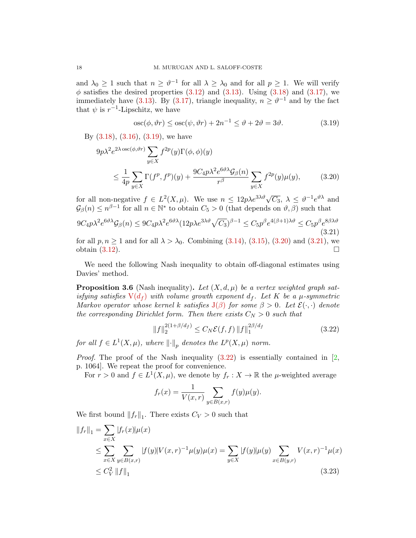and  $\lambda_0 \geq 1$  such that  $n \geq \vartheta^{-1}$  for all  $\lambda \geq \lambda_0$  and for all  $p \geq 1$ . We will verify  $\phi$  satisfies the desired properties [\(3.12\)](#page-16-0) and [\(3.13\)](#page-16-1). Using [\(3.18\)](#page-16-2) and [\(3.17\)](#page-16-3), we immediately have [\(3.13\)](#page-16-1). By [\(3.17\)](#page-16-3), triangle inequality,  $n \geq \theta^{-1}$  and by the fact that  $\psi$  is  $r^{-1}$ -Lipschitz, we have

<span id="page-17-1"></span><span id="page-17-0"></span>
$$
\operatorname{osc}(\phi, \vartheta r) \le \operatorname{osc}(\psi, \vartheta r) + 2n^{-1} \le \vartheta + 2\vartheta = 3\vartheta. \tag{3.19}
$$

By [\(3.18\)](#page-16-2), [\(3.16\)](#page-16-4), [\(3.19\)](#page-17-0), we have

$$
9p\lambda^{2}e^{2\lambda\cos(\phi,\vartheta r)}\sum_{y\in X}f^{2p}(y)\Gamma(\phi,\phi)(y)
$$
  

$$
\leq \frac{1}{4p}\sum_{y\in X}\Gamma(f^{p},f^{p})(y)+\frac{9C_{4}p\lambda^{2}e^{6\vartheta\lambda}\mathcal{G}_{\beta}(n)}{r^{\beta}}\sum_{y\in X}f^{2p}(y)\mu(y), \qquad (3.20)
$$

for all non-negative  $f \in L^2(X, \mu)$ . We use  $n \leq 12p\lambda e^{3\lambda \vartheta}\sqrt{C_3}$ ,  $\lambda \leq \vartheta^{-1}e^{\vartheta\lambda}$  and  $\mathcal{G}_{\beta}(n) \leq n^{\beta-1}$  for all  $n \in \mathbb{N}^*$  to obtain  $C_5 > 0$  (that depends on  $\vartheta, \beta$ ) such that

<span id="page-17-2"></span>
$$
9C_4p\lambda^2e^{6\vartheta\lambda}\mathcal{G}_{\beta}(n) \leq 9C_4p\lambda^2e^{6\vartheta\lambda}(12p\lambda e^{3\lambda\vartheta}\sqrt{C_3})^{\beta-1} \leq C_5p^{\beta}e^{4(\beta+1)\lambda\vartheta} \leq C_5p^{\beta}e^{8\beta\lambda\vartheta}
$$
\n(3.21)\nfor all  $p, n \geq 1$  and for all  $\lambda \geq \lambda_0$ . Combining (3.14), (3.15), (3.20) and (3.21), we

for all  $p, n \ge 1$  and for all  $\lambda > \lambda_0$ . Combining  $(3.14)$ ,  $(3.15)$ ,  $(3.20)$  and  $(3.21)$ , we obtain  $(3.12)$ .

We need the following Nash inequality to obtain off-diagonal estimates using Davies' method.

<span id="page-17-5"></span>**Proposition 3.6** (Nash inequality). Let  $(X, d, \mu)$  be a vertex weighted graph satisfying satisfies  $V(d_f)$  $V(d_f)$  with volume growth exponent  $d_f$ . Let K be a  $\mu$ -symmetric Markov operator whose kernel k satisfies  $J(\beta)$  $J(\beta)$  for some  $\beta > 0$ . Let  $\mathcal{E}(\cdot, \cdot)$  denote the corresponding Dirichlet form. Then there exists  $C_N > 0$  such that

<span id="page-17-3"></span>
$$
||f||_2^{2(1+\beta/d_f)} \le C_N \mathcal{E}(f,f) ||f||_1^{2\beta/d_f}
$$
 (3.22)

for all  $f \in L^1(X, \mu)$ , where  $\lVert \cdot \rVert_p$  denotes the  $L^p(X, \mu)$  norm.

*Proof.* The proof of the Nash inequality  $(3.22)$  is essentially contained in [\[2,](#page-24-2) p. 1064]. We repeat the proof for convenience.

For  $r > 0$  and  $f \in L^1(X, \mu)$ , we denote by  $f_r : X \to \mathbb{R}$  the  $\mu$ -weighted average

<span id="page-17-4"></span>
$$
f_r(x) = \frac{1}{V(x,r)} \sum_{y \in B(x,r)} f(y) \mu(y).
$$

We first bound  $||f_r||_1$ . There exists  $C_V > 0$  such that

$$
||f_r||_1 = \sum_{x \in X} |f_r(x)| \mu(x)
$$
  
\n
$$
\leq \sum_{x \in X} \sum_{y \in B(x,r)} |f(y)| V(x,r)^{-1} \mu(y) \mu(x) = \sum_{y \in X} |f(y)| \mu(y) \sum_{x \in B(y,r)} V(x,r)^{-1} \mu(x)
$$
  
\n
$$
\leq C_V^2 ||f||_1
$$
\n(3.23)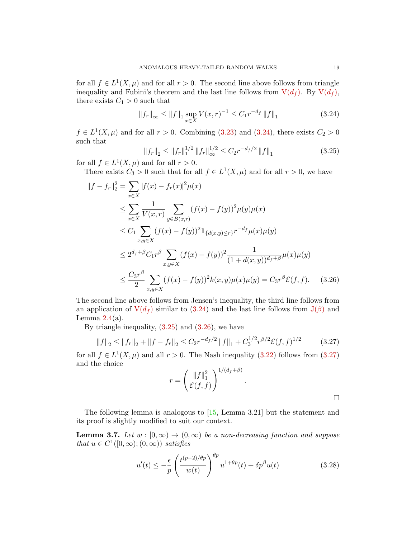for all  $f \in L^1(X,\mu)$  and for all  $r > 0$ . The second line above follows from triangle inequality and Fubini's theorem and the last line follows from  $V(d_f)$  $V(d_f)$ . By  $V(d_f)$ , there exists  $C_1 > 0$  such that

<span id="page-18-0"></span>
$$
||f_r||_{\infty} \le ||f||_1 \sup_{x \in X} V(x, r)^{-1} \le C_1 r^{-d_f} ||f||_1
$$
\n(3.24)

 $f \in L^1(X,\mu)$  and for all  $r > 0$ . Combining [\(3.23\)](#page-17-4) and [\(3.24\)](#page-18-0), there exists  $C_2 > 0$ such that

<span id="page-18-1"></span>
$$
||f_r||_2 \le ||f_r||_1^{1/2} ||f_r||_\infty^{1/2} \le C_2 r^{-d_f/2} ||f||_1
$$
\n(3.25)

for all  $f \in L^1(X, \mu)$  and for all  $r > 0$ .

There exists  $C_3 > 0$  such that for all  $f \in L^1(X, \mu)$  and for all  $r > 0$ , we have

$$
\|f - f_r\|_2^2 = \sum_{x \in X} |f(x) - f_r(x)|^2 \mu(x)
$$
  
\n
$$
\leq \sum_{x \in X} \frac{1}{V(x, r)} \sum_{y \in B(x, r)} (f(x) - f(y))^2 \mu(y) \mu(x)
$$
  
\n
$$
\leq C_1 \sum_{x, y \in X} (f(x) - f(y))^2 \mathbf{1}_{\{d(x, y) \leq r\}} r^{-d_f} \mu(x) \mu(y)
$$
  
\n
$$
\leq 2^{d_f + \beta} C_1 r^{\beta} \sum_{x, y \in X} (f(x) - f(y))^2 \frac{1}{(1 + d(x, y))^{d_f + \beta}} \mu(x) \mu(y)
$$
  
\n
$$
\leq \frac{C_3 r^{\beta}}{2} \sum_{x, y \in X} (f(x) - f(y))^2 k(x, y) \mu(x) \mu(y) = C_3 r^{\beta} \mathcal{E}(f, f). \quad (3.26)
$$

The second line above follows from Jensen's inequality, the third line follows from an application of  $V(d_f)$  $V(d_f)$  similar to [\(3.24\)](#page-18-0) and the last line follows from  $J(\beta)$  $J(\beta)$  and Lemma  $2.4(a)$  $2.4(a)$ .

By triangle inequality,  $(3.25)$  and  $(3.26)$ , we have

<span id="page-18-3"></span>
$$
||f||_2 \le ||f_r||_2 + ||f - f_r||_2 \le C_2 r^{-d_f/2} ||f||_1 + C_3^{1/2} r^{\beta/2} \mathcal{E}(f, f)^{1/2}
$$
 (3.27)

for all  $f \in L^1(X,\mu)$  and all  $r > 0$ . The Nash inequality [\(3.22\)](#page-17-3) follows from [\(3.27\)](#page-18-3) and the choice

<span id="page-18-2"></span>
$$
r = \left(\frac{\|f\|_1^2}{\mathcal{E}(f,f)}\right)^{1/(d_f+\beta)}.
$$

The following lemma is analogous to [\[15,](#page-25-12) Lemma 3.21] but the statement and its proof is slightly modified to suit our context.

<span id="page-18-5"></span>**Lemma 3.7.** Let  $w : [0, \infty) \to (0, \infty)$  be a non-decreasing function and suppose that  $u \in C^1([0,\infty);(0,\infty))$  satisfies

<span id="page-18-4"></span>
$$
u'(t) \le -\frac{\epsilon}{p} \left( \frac{t^{(p-2)/\theta p}}{w(t)} \right)^{\theta p} u^{1+\theta p}(t) + \delta p^{\beta} u(t)
$$
 (3.28)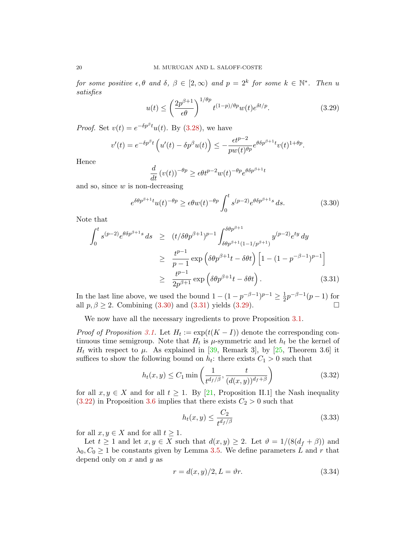for some positive  $\epsilon, \theta$  and  $\delta, \beta \in [2, \infty)$  and  $p = 2^k$  for some  $k \in \mathbb{N}^*$ . Then u satisfies

<span id="page-19-3"></span>
$$
u(t) \le \left(\frac{2p^{\beta+1}}{\epsilon\theta}\right)^{1/\theta p} t^{(1-p)/\theta p} w(t) e^{\delta t/p}.
$$
 (3.29)

*Proof.* Set  $v(t) = e^{-\delta p^{\beta}t}u(t)$ . By [\(3.28\)](#page-18-4), we have

$$
v'(t) = e^{-\delta p^{\beta}t} \left( u'(t) - \delta p^{\beta}u(t) \right) \le -\frac{\epsilon t^{p-2}}{pw(t)^{\theta p}} e^{\theta \delta p^{\beta+1}t}v(t)^{1+\theta p}.
$$

Hence

$$
\frac{d}{dt} (v(t))^{-\theta p} \ge \epsilon \theta t^{p-2} w(t)^{-\theta p} e^{\theta \delta p^{\beta+1} t}
$$

and so, since  $w$  is non-decreasing

<span id="page-19-1"></span>
$$
e^{\delta\theta p^{\beta+1}t}u(t)^{-\theta p} \ge \epsilon\theta w(t)^{-\theta p} \int_0^t s^{(p-2)} e^{\theta \delta p^{\beta+1}s} ds.
$$
 (3.30)

Note that

<span id="page-19-2"></span>
$$
\int_0^t s^{(p-2)} e^{\theta \delta p^{\beta+1} s} ds \ge (t/\delta \theta p^{\beta+1})^{p-1} \int_{\delta \theta p^{\beta+1} (1-1/p^{\beta+1})}^{\delta \theta p^{\beta+1}} y^{(p-2)} e^{ty} dy
$$
  
\n
$$
\ge \frac{t^{p-1}}{p-1} \exp \left( \delta \theta p^{\beta+1} t - \delta \theta t \right) \left[ 1 - (1 - p^{-\beta-1})^{p-1} \right]
$$
  
\n
$$
\ge \frac{t^{p-1}}{2p^{\beta+1}} \exp \left( \delta \theta p^{\beta+1} t - \delta \theta t \right).
$$
 (3.31)

In the last line above, we used the bound  $1 - (1 - p^{-\beta - 1})^{p-1} \ge \frac{1}{2}$  $\frac{1}{2}p^{-\beta-1}(p-1)$  for all  $p, \beta \ge 2$ . Combining [\(3.30\)](#page-19-1) and [\(3.31\)](#page-19-2) yields [\(3.29\)](#page-19-3).

We now have all the necessary ingredients to prove Proposition [3.1.](#page-13-0)

*Proof of Proposition [3.1.](#page-13-0)* Let  $H_t := \exp(t(K - I))$  denote the corresponding continuous time semigroup. Note that  $H_t$  is  $\mu$ -symmetric and let  $h_t$  be the kernel of  $H_t$  with respect to  $\mu$ . As explained in [\[39,](#page-26-9) Remark 3], by [\[25,](#page-25-14) Theorem 3.6] it suffices to show the following bound on  $h_t$ : there exists  $C_1 > 0$  such that

<span id="page-19-0"></span>
$$
h_t(x,y) \le C_1 \min\left(\frac{1}{t^{d_f/\beta}}, \frac{t}{(d(x,y))^{d_f+\beta}}\right) \tag{3.32}
$$

for all  $x, y \in X$  and for all  $t \geq 1$ . By [\[21,](#page-25-15) Proposition II.1] the Nash inequality  $(3.22)$  in Proposition [3.6](#page-17-5) implies that there exists  $C_2 > 0$  such that

<span id="page-19-5"></span>
$$
h_t(x,y) \le \frac{C_2}{t^{d_f/\beta}}\tag{3.33}
$$

for all  $x, y \in X$  and for all  $t \geq 1$ .

Let  $t \geq 1$  and let  $x, y \in X$  such that  $d(x, y) \geq 2$ . Let  $\vartheta = 1/(8(d_f + \beta))$  and  $\lambda_0, C_0 \geq 1$  be constants given by Lemma [3.5.](#page-16-7) We define parameters L and r that depend only on  $x$  and  $y$  as

<span id="page-19-4"></span>
$$
r = d(x, y)/2, L = \vartheta r.
$$
\n
$$
(3.34)
$$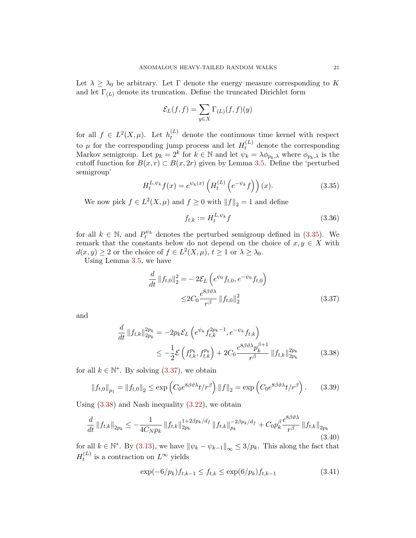Let  $\lambda \geq \lambda_0$  be arbitrary. Let Γ denote the energy measure corresponding to K and let  $\Gamma(L)$  denote its truncation. Define the truncated Dirichlet form

$$
\mathcal{E}_L(f,f) = \sum_{y \in X} \Gamma_{(L)}(f,f)(y)
$$

for all  $f \in L^2(X,\mu)$ . Let  $h_t^{(L)}$  denote the continuous time kernel with respect to  $\mu$  for the corresponding jump process and let  $H_t^{(L)}$  denote the corresponding Markov semigroup. Let  $p_k = 2^k$  for  $k \in \mathbb{N}$  and let  $\psi_k = \lambda \phi_{p_k,\lambda}$  where  $\phi_{p_k,\lambda}$  is the cutoff function for  $B(x, r) \subset B(x, 2r)$  given by Lemma [3.5.](#page-16-7) Define the 'perturbed semigroup'

<span id="page-20-0"></span>
$$
H_t^{L,\psi_k}f(x) = e^{\psi_k(x)} \left( H_t^{(L)} \left( e^{-\psi_k} f \right) \right)(x). \tag{3.35}
$$

We now pick  $f \in L^2(X, \mu)$  and  $f \ge 0$  with  $||f||_2 = 1$  and define

<span id="page-20-1"></span>
$$
f_{t,k} := H_t^{L,\psi_k} f \tag{3.36}
$$

for all  $k \in \mathbb{N}$ , and  $P_t^{\psi_k}$  denotes the perturbed semigroup defined in [\(3.35\)](#page-20-0). We remark that the constants below do not depend on the choice of  $x, y \in X$  with  $d(x, y) \ge 2$  or the choice of  $f \in L^2(X, \mu)$ ,  $t \ge 1$  or  $\lambda \ge \lambda_0$ .

Using Lemma [3.5,](#page-16-7) we have

<span id="page-20-2"></span>
$$
\frac{d}{dt} ||f_{t,0}||_2^2 = -2\mathcal{E}_L \left( e^{\psi_0} f_{t,0}, e^{-\psi_0} f_{t,0} \right)
$$
  

$$
\leq 2C_0 \frac{e^{8\beta\vartheta\lambda}}{r^{\beta}} ||f_{t,0}||_2^2
$$
(3.37)

and

$$
\frac{d}{dt} \|f_{t,k}\|_{2p_k}^{2p_k} = -2p_k \mathcal{E}_L \left( e^{\psi_k} f_{t,k}^{2p_k - 1}, e^{-\psi_k} f_{t,k} \right) \n\le -\frac{1}{2} \mathcal{E} \left( f_{t,k}^{p_k}, f_{t,k}^{p_k} \right) + 2C_0 \frac{e^{8\beta \vartheta \lambda} p_k^{\beta + 1}}{r^{\beta}} \|f_{t,k}\|_{2p_k}^{2p_k}
$$
\n(3.38)

for all  $k \in \mathbb{N}^*$ . By solving  $(3.37)$ , we obtain

<span id="page-20-5"></span>
$$
\|f_{t,0}\|_{p_1} = \|f_{t,0}\|_2 \le \exp\left(C_0 e^{8\beta\vartheta\lambda} t/r^{\beta}\right) \|f\|_2 = \exp\left(C_0 e^{8\beta\vartheta\lambda} t/r^{\beta}\right). \tag{3.39}
$$

Using  $(3.38)$  and Nash inequality  $(3.22)$ , we obtain

<span id="page-20-3"></span>
$$
\frac{d}{dt} \|f_{t,k}\|_{2p_k} \le -\frac{1}{4C_N p_k} \|f_{t,k}\|_{2p_k}^{1+2\beta p_k/d_f} \|f_{t,k}\|_{p_k}^{-2\beta p_k/d_f} + C_0 p_k^{\beta} \frac{e^{8\beta\vartheta\lambda}}{r^{\beta}} \|f_{t,k}\|_{2p_k}
$$
\n(3.40)

for all  $k \in \mathbb{N}^*$ . By [\(3.13\)](#page-16-1), we have  $\|\psi_k - \psi_{k-1}\|_{\infty} \leq 3/p_k$ . This along the fact that  $H_t^{(L)}$  $t_t^{(L)}$  is a contraction on  $L^{\infty}$  yields

<span id="page-20-4"></span>
$$
\exp(-6/p_k)f_{t,k-1} \le f_{t,k} \le \exp(6/p_k)f_{t,k-1} \tag{3.41}
$$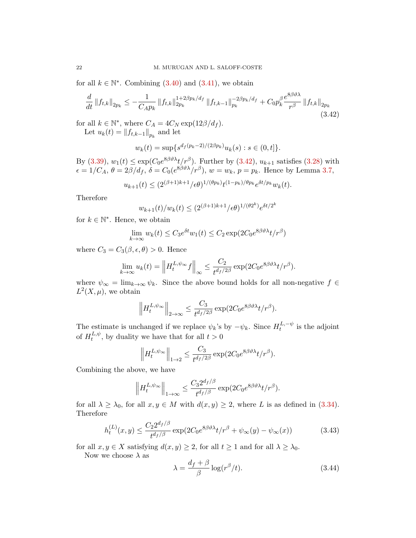for all  $k \in \mathbb{N}^*$ . Combining  $(3.40)$  and  $(3.41)$ , we obtain

<span id="page-21-0"></span>
$$
\frac{d}{dt} \left\| f_{t,k} \right\|_{2p_k} \le -\frac{1}{C_A p_k} \left\| f_{t,k} \right\|_{2p_k}^{1+2\beta p_k/d_f} \left\| f_{t,k-1} \right\|_{p_k}^{-2\beta p_k/d_f} + C_0 p_k^{\beta} \frac{e^{8\beta \vartheta \lambda}}{r^{\beta}} \left\| f_{t,k} \right\|_{2p_k} \tag{3.42}
$$

for all  $k \in \mathbb{N}^*$ , where  $C_A = 4C_N \exp(12\beta/d_f)$ . Let  $u_k(t) = ||f_{t,k-1}||_{p_k}$  and let

$$
w_k(t) = \sup \{ s^{d_f(p_k-2)/(2\beta p_k)} u_k(s) : s \in (0, t] \}.
$$

By [\(3.39\)](#page-20-5),  $w_1(t) \le \exp(C_0 e^{8\beta \vartheta \lambda} t / r^{\beta})$ . Further by [\(3.42\)](#page-21-0),  $u_{k+1}$  satisfies [\(3.28\)](#page-18-4) with  $\epsilon = 1/C_A$ ,  $\theta = 2\beta/d_f$ ,  $\delta = C_0(e^{8\beta\vartheta\lambda}/r^{\beta})$ ,  $w = w_k$ ,  $p = p_k$ . Hence by Lemma [3.7,](#page-18-5)

$$
u_{k+1}(t) \le (2^{(\beta+1)k+1}/\epsilon \theta)^{1/(\theta p_k)} t^{(1-p_k)/\theta p_k} e^{\delta t/p_k} w_k(t).
$$

Therefore

$$
w_{k+1}(t)/w_k(t) \leq (2^{(\beta+1)k+1}/\epsilon \theta)^{1/(\theta 2^k)} e^{\delta t/2^k}
$$

for  $k \in \mathbb{N}^*$ . Hence, we obtain

$$
\lim_{k \to \infty} w_k(t) \le C_3 e^{\delta t} w_1(t) \le C_2 \exp(2C_0 e^{8\beta \vartheta \lambda} t/r^{\beta})
$$

where  $C_3 = C_3(\beta, \epsilon, \theta) > 0$ . Hence

$$
\lim_{k \to \infty} u_k(t) = \left\| H_t^{L, \psi_\infty} f \right\|_\infty \le \frac{C_2}{t^{d_f/2\beta}} \exp(2C_0 e^{8\beta \vartheta \lambda} t/r^\beta).
$$

where  $\psi_{\infty} = \lim_{k \to \infty} \psi_k$ . Since the above bound holds for all non-negative  $f \in$  $L^2(X,\mu)$ , we obtain

$$
\left\| H_t^{L,\psi_\infty} \right\|_{2\to\infty} \leq \frac{C_3}{t^{d_f/2\beta}} \exp(2C_0 e^{8\beta\vartheta\lambda} t/r^{\beta}).
$$

The estimate is unchanged if we replace  $\psi_k$ 's by  $-\psi_k$ . Since  $H_t^{L,-\psi}$  $t^{L,-\psi}$  is the adjoint of  $H_t^{L,\psi}$  $t^{L,\psi}_t$ , by duality we have that for all  $t > 0$ 

$$
\left\| H_t^{L,\psi_\infty} \right\|_{1\to 2} \leq \frac{C_3}{t^{d_f/2\beta}} \exp(2C_0 e^{8\beta \vartheta \lambda} t/r^{\beta}).
$$

Combining the above, we have

$$
\left\|H_t^{L,\psi_\infty}\right\|_{1\to\infty}\leq \frac{C_32^{d_f/\beta}}{t^{d_f/\beta}}\exp(2C_0e^{8\beta\vartheta\lambda}t/r^\beta).
$$

for all  $\lambda \geq \lambda_0$ , for all  $x, y \in M$  with  $d(x, y) \geq 2$ , where L is as defined in [\(3.34\)](#page-19-4). Therefore

<span id="page-21-1"></span>
$$
h_t^{(L)}(x,y) \le \frac{C_2 2^{d_f/\beta}}{t^{d_f/\beta}} \exp(2C_0 e^{8\beta \vartheta \lambda} t/r^{\beta} + \psi_\infty(y) - \psi_\infty(x))
$$
 (3.43)

for all  $x, y \in X$  satisfying  $d(x, y) \geq 2$ , for all  $t \geq 1$  and for all  $\lambda \geq \lambda_0$ .

Now we choose  $\lambda$  as

$$
\lambda = \frac{d_f + \beta}{\beta} \log(r^{\beta}/t). \tag{3.44}
$$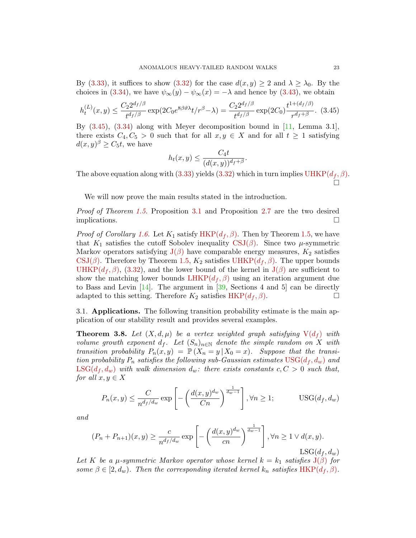By [\(3.33\)](#page-19-5), it suffices to show [\(3.32\)](#page-19-0) for the case  $d(x, y) \geq 2$  and  $\lambda \geq \lambda_0$ . By the choices in [\(3.34\)](#page-19-4), we have  $\psi_{\infty}(y) - \psi_{\infty}(x) = -\lambda$  and hence by [\(3.43\)](#page-21-1), we obtain

<span id="page-22-3"></span>
$$
h_t^{(L)}(x,y) \le \frac{C_2 2^{d_f/\beta}}{t^{d_f/\beta}} \exp(2C_0 e^{8\beta \vartheta \lambda} t/r^{\beta} - \lambda) = \frac{C_2 2^{d_f/\beta}}{t^{d_f/\beta}} \exp(2C_0) \frac{t^{1 + (d_f/\beta)}}{r^{d_f + \beta}}. (3.45)
$$

By [\(3.45\)](#page-22-3), [\(3.34\)](#page-19-4) along with Meyer decomposition bound in [\[11,](#page-25-9) Lemma 3.1], there exists  $C_4, C_5 > 0$  such that for all  $x, y \in X$  and for all  $t \geq 1$  satisfying  $d(x, y)$ <sup> $\beta \geq C_5 t$ , we have</sup>

$$
h_t(x,y) \le \frac{C_4 t}{(d(x,y))^{d_f+\beta}}.
$$

The above equation along with [\(3.33\)](#page-19-5) yields [\(3.32\)](#page-19-0) which in turn implies  $UHKP(d_f, \beta)$  $UHKP(d_f, \beta)$ . 'n

We will now prove the main results stated in the introduction.

Proof of Theorem [1.5.](#page-4-2) Proposition [3.1](#page-13-0) and Proposition [2.7](#page-11-6) are the two desired implications.

*Proof of Corollary [1.6.](#page-4-3)* Let  $K_1$  satisfy [HKP\(](#page-3-1) $d_f$ ,  $\beta$ ). Then by Theorem [1.5,](#page-4-2) we have that  $K_1$  satisfies the cutoff Sobolev inequality [CSJ\(](#page-4-0) $\beta$ ). Since two  $\mu$ -symmetric Markov operators satisfying  $J(\beta)$  $J(\beta)$  have comparable energy measures,  $K_2$  satisfies  $\text{CSJ}(\beta)$ . Therefore by Theorem [1.5,](#page-4-2)  $K_2$  satisfies [UHKP\(](#page-3-2) $d_f$ ,  $\beta$ ). The upper bounds [UHKP\(](#page-3-2) $d_f$ ,  $\beta$ ), [\(3.32\)](#page-19-0), and the lower bound of the kernel in  $J(\beta)$  $J(\beta)$  are sufficient to show the matching lower bounds  $LHKP(d_f, \beta)$  $LHKP(d_f, \beta)$  using an iteration argument due to Bass and Levin  $[14]$ . The argument in  $[39,$  Sections 4 and 5 can be directly adapted to this setting. Therefore  $K_2$  satisfies  $HKP(d_f, \beta)$  $HKP(d_f, \beta)$ .

<span id="page-22-2"></span>3.1. Applications. The following transition probability estimate is the main application of our stability result and provides several examples.

<span id="page-22-4"></span>**Theorem 3.8.** Let  $(X, d, \mu)$  be a vertex weighted graph satisfying  $V(d_f)$  $V(d_f)$  with volume growth exponent  $d_f$ . Let  $(S_n)_{n\in\mathbb{N}}$  denote the simple random on X with transition probability  $P_n(x, y) = \mathbb{P}(X_n = y | X_0 = x)$ . Suppose that the transition probability  $P_n$  satisfies the following sub-Gaussian estimates  $USG(d_f, d_w)$  $USG(d_f, d_w)$  and  $\text{LSG}(d_f, d_w)$  with walk dimension  $d_w$ : there exists constants  $c, C > 0$  such that, for all  $x, y \in X$ 

<span id="page-22-5"></span><span id="page-22-1"></span><span id="page-22-0"></span>
$$
P_n(x,y) \le \frac{C}{n^{d_f/d_w}} \exp\left[-\left(\frac{d(x,y)^{d_w}}{Cn}\right)^{\frac{1}{d_w-1}}\right], \forall n \ge 1; \qquad \text{USG}(d_f, d_w)
$$

and

$$
(P_n + P_{n+1})(x, y) \ge \frac{c}{n^{d_f/d_w}} \exp\left[-\left(\frac{d(x, y)^{d_w}}{cn}\right)^{\frac{1}{d_w - 1}}\right], \forall n \ge 1 \lor d(x, y).
$$
  
LSG $(d_f, d_w)$ 

Let K be a  $\mu$ -symmetric Markov operator whose kernel  $k = k_1$  satisfies  $J(\beta)$  $J(\beta)$  for some  $\beta \in [2, d_w)$ . Then the corresponding iterated kernel  $k_n$  satisfies [HKP\(](#page-3-1) $d_f, \beta$ ).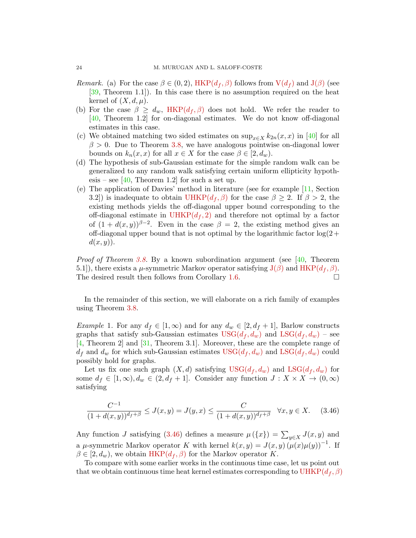- *Remark.* (a) For the case  $\beta \in (0, 2)$ , [HKP\(](#page-3-1) $d_f$ ,  $\beta$ ) follows from  $V(d_f)$  $V(d_f)$  and  $J(\beta)$  $J(\beta)$  (see [\[39,](#page-26-9) Theorem 1.1]). In this case there is no assumption required on the heat kernel of  $(X, d, \mu)$ .
- (b) For the case  $\beta \geq d_w$ , [HKP\(](#page-3-1) $d_f$ ,  $\beta$ ) does not hold. We refer the reader to [\[40,](#page-26-7) Theorem 1.2] for on-diagonal estimates. We do not know off-diagonal estimates in this case.
- (c) We obtained matching two sided estimates on  $\sup_{x\in X} k_{2n}(x, x)$  in [\[40\]](#page-26-7) for all  $\beta > 0$ . Due to Theorem [3.8,](#page-22-4) we have analogous pointwise on-diagonal lower bounds on  $k_n(x, x)$  for all  $x \in X$  for the case  $\beta \in [2, d_w)$ .
- (d) The hypothesis of sub-Gaussian estimate for the simple random walk can be generalized to any random walk satisfying certain uniform ellipticity hypoth-esis – see [\[40,](#page-26-7) Theorem 1.2] for such a set up.
- (e) The application of Davies' method in literature (see for example [\[11,](#page-25-9) Section 3.2]) is inadequate to obtain [UHKP\(](#page-3-2) $d_f$ ,  $\beta$ ) for the case  $\beta \geq 2$ . If  $\beta > 2$ , the existing methods yields the off-diagonal upper bound corresponding to the off-diagonal estimate in  $UHKP(d_f, 2)$  $UHKP(d_f, 2)$  and therefore not optimal by a factor of  $(1 + d(x, y))^{\beta - 2}$ . Even in the case  $\beta = 2$ , the existing method gives an off-diagonal upper bound that is not optimal by the logarithmic factor  $log(2+$  $d(x, y)$ .

*Proof of Theorem [3.8.](#page-22-4)* By a known subordination argument (see [\[40,](#page-26-7) Theorem 5.1]), there exists a  $\mu$ -symmetric Markov operator satisfying  $J(\beta)$  $J(\beta)$  and  $HKP(d_f, \beta)$  $HKP(d_f, \beta)$ . The desired result then follows from Corollary [1.6.](#page-4-3)  $\Box$ 

In the remainder of this section, we will elaborate on a rich family of examples using Theorem [3.8.](#page-22-4)

<span id="page-23-0"></span>*Example 1.* For any  $d_f \in [1,\infty)$  and for any  $d_w \in [2, d_f + 1]$ , Barlow constructs graphs that satisfy sub-Gaussian estimates  $USG(d_f, d_w)$  $USG(d_f, d_w)$  and  $LSG(d_f, d_w)$  $LSG(d_f, d_w)$  – see [\[4,](#page-25-2) Theorem 2] and [\[31,](#page-26-3) Theorem 3.1]. Moreover, these are the complete range of  $d_f$  and  $d_w$  for which sub-Gaussian estimates  $USG(d_f, d_w)$  $USG(d_f, d_w)$  and  $LSG(d_f, d_w)$  $LSG(d_f, d_w)$  could possibly hold for graphs.

Let us fix one such graph  $(X, d)$  satisfying USG $(d_f, d_w)$  and LSG $(d_f, d_w)$  for some  $d_f \in [1,\infty), d_w \in (2, d_f+1]$ . Consider any function  $J: X \times X \to (0,\infty)$ satisfying

$$
\frac{C^{-1}}{(1+d(x,y))^{d_f+\beta}} \le J(x,y) = J(y,x) \le \frac{C}{(1+d(x,y))^{d_f+\beta}} \quad \forall x, y \in X. \tag{3.46}
$$

Any function J satisfying [\(3.46\)](#page-22-5) defines a measure  $\mu(\lbrace x \rbrace) = \sum_{y \in X} J(x, y)$  and a  $\mu$ -symmetric Markov operator K with kernel  $k(x, y) = J(x, y) (\mu(x) \mu(y))^{-1}$ . If  $\beta \in [2, d_w)$ , we obtain HKP $(d_f, \beta)$  for the Markov operator K.

To compare with some earlier works in the continuous time case, let us point out that we obtain continuous time heat kernel estimates corresponding to  $UHKP(d_f, \beta)$  $UHKP(d_f, \beta)$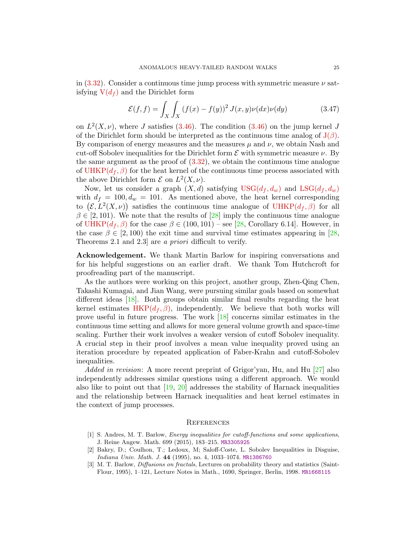in  $(3.32)$ . Consider a continuous time jump process with symmetric measure  $\nu$  satisfying  $V(d_f)$  $V(d_f)$  and the Dirichlet form

$$
\mathcal{E}(f,f) = \int_X \int_X (f(x) - f(y))^2 J(x,y) \nu(dx) \nu(dy) \tag{3.47}
$$

on  $L^2(X, \nu)$ , where J satisfies [\(3.46\)](#page-22-5). The condition (3.46) on the jump kernel J of the Dirichlet form should be interpreted as the continuous time analog of  $J(\beta)$  $J(\beta)$ . By comparison of energy measures and the measures  $\mu$  and  $\nu$ , we obtain Nash and cut-off Sobolev inequalities for the Dirichlet form  $\mathcal E$  with symmetric measure  $\nu$ . By the same argument as the proof of [\(3.32\)](#page-19-0), we obtain the continuous time analogue of [UHKP\(](#page-3-2) $d_f$ ,  $\beta$ ) for the heat kernel of the continuous time process associated with the above Dirichlet form  $\mathcal{E}$  on  $L^2(X, \nu)$ .

Now, let us consider a graph  $(X, d)$  satisfying  $USG(d_f, d_w)$  $USG(d_f, d_w)$  and  $LSG(d_f, d_w)$  $LSG(d_f, d_w)$ with  $d_f = 100, d_w = 101$ . As mentioned above, the heat kernel corresponding to  $(\mathcal{E}, L^2(X, \nu))$  satisfies the continuous time analogue of UHKP $(d_f, \beta)$  for all  $\beta \in [2, 101)$ . We note that the results of  $[28]$  imply the continuous time analogue of UHKP $(d_f, \beta)$  for the case  $\beta \in (100, 101)$  – see [\[28,](#page-26-10) Corollary 6.14]. However, in the case  $\beta \in [2, 100)$  the exit time and survival time estimates appearing in [\[28,](#page-26-10) Theorems 2.1 and 2.3] are a priori difficult to verify.

Acknowledgement. We thank Martin Barlow for inspiring conversations and for his helpful suggestions on an earlier draft. We thank Tom Hutchcroft for proofreading part of the manuscript.

As the authors were working on this project, another group, Zhen-Qing Chen, Takashi Kumagai, and Jian Wang, were pursuing similar goals based on somewhat different ideas [\[18\]](#page-25-16). Both groups obtain similar final results regarding the heat kernel estimates  $HKP(d_f, \beta)$  $HKP(d_f, \beta)$ , independently. We believe that both works will prove useful in future progress. The work [\[18\]](#page-25-16) concerns similar estimates in the continuous time setting and allows for more general volume growth and space-time scaling. Further their work involves a weaker version of cutoff Sobolev inequality. A crucial step in their proof involves a mean value inequality proved using an iteration procedure by repeated application of Faber-Krahn and cutoff-Sobolev inequalities.

Added in revision: A more recent preprint of Grigor'yan, Hu, and Hu [\[27\]](#page-25-17) also independently addresses similar questions using a different approach. We would also like to point out that  $[19, 20]$  $[19, 20]$  addresses the stability of Harnack inequalities and the relationship between Harnack inequalities and heat kernel estimates in the context of jump processes.

## **REFERENCES**

- <span id="page-24-1"></span>[1] S. Andres, M. T. Barlow, Energy inequalities for cutoff-functions and some applications, J. Reine Angew. Math. 699 (2015), 183–215. [MR3305925](http://www.ams.org/mathscinet-getitem?mr=3305925)
- <span id="page-24-2"></span>[2] Bakry, D.; Coulhon, T.; Ledoux, M; Saloff-Coste, L. Sobolev Inequalities in Disguise, Indiana Univ. Math. J. 44 (1995), no. 4, 1033–1074. [MR1386760](http://www.ams.org/mathscinet-getitem?mr=1386760)
- <span id="page-24-0"></span>[3] M. T. Barlow, Diffusions on fractals, Lectures on probability theory and statistics (Saint-Flour, 1995), 1–121, Lecture Notes in Math., 1690, Springer, Berlin, 1998. [MR1668115](http://www.ams.org/mathscinet-getitem?mr=1668115)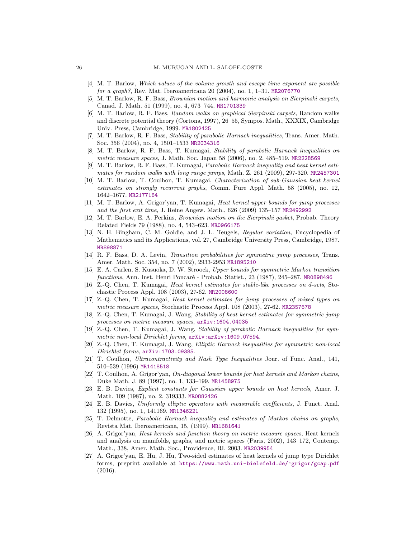- <span id="page-25-2"></span>[4] M. T. Barlow, Which values of the volume growth and escape time exponent are possible for a graph?, Rev. Mat. Iberoamericana 20 (2004), no. 1, 1–31. [MR2076770](http://www.ams.org/mathscinet-getitem?mr=2076770)
- <span id="page-25-1"></span>[5] M. T. Barlow, R. F. Bass, Brownian motion and harmonic analysis on Sierpinski carpets, Canad. J. Math. 51 (1999), no. 4, 673–744. [MR1701339](http://www.ams.org/mathscinet-getitem?mr=1701339)
- <span id="page-25-4"></span>[6] M. T. Barlow, R. F. Bass, Random walks on graphical Sierpinski carpets, Random walks and discrete potential theory (Cortona, 1997), 26–55, Sympos. Math., XXXIX, Cambridge Univ. Press, Cambridge, 1999. [MR1802425](http://www.ams.org/mathscinet-getitem?mr=1802425)
- <span id="page-25-11"></span>[7] M. T. Barlow, R. F. Bass, Stability of parabolic Harnack inequalities, Trans. Amer. Math. Soc. 356 (2004), no. 4, 1501–1533 [MR2034316](http://www.ams.org/mathscinet-getitem?mr=2034316)
- [8] M. T. Barlow, R. F. Bass, T. Kumagai, Stability of parabolic Harnack inequalities on metric measure spaces, J. Math. Soc. Japan 58 (2006), no. 2, 485–519. [MR2228569](http://www.ams.org/mathscinet-getitem?mr=2228569)
- <span id="page-25-8"></span>[9] M. T. Barlow, R. F. Bass, T. Kumagai, Parabolic Harnack inequality and heat kernel estimates for random walks with long range jumps, Math. Z. 261 (2009), 297-320. [MR2457301](http://www.ams.org/mathscinet-getitem?mr=2457301)
- <span id="page-25-3"></span>[10] M. T. Barlow, T. Coulhon, T. Kumagai, Characterization of sub-Gaussian heat kernel estimates on strongly recurrent graphs, Comm. Pure Appl. Math. 58 (2005), no. 12, 1642–1677. [MR2177164](http://www.ams.org/mathscinet-getitem?mr=2177164)
- <span id="page-25-9"></span>[11] M. T. Barlow, A. Grigor'yan, T. Kumagai, Heat kernel upper bounds for jump processes and the first exit time, J. Reine Angew. Math., 626 (2009) 135–157 [MR2492992](http://www.ams.org/mathscinet-getitem?mr=2492992)
- <span id="page-25-0"></span>[12] M. T. Barlow, E. A. Perkins, Brownian motion on the Sierpinski gasket, Probab. Theory Related Fields 79 (1988), no. 4, 543–623. [MR0966175](http://www.ams.org/mathscinet-getitem?mr=0966175)
- [13] N. H. Bingham, C. M. Goldie, and J. L. Teugels, Regular variation, Encyclopedia of Mathematics and its Applications, vol. 27, Cambridge University Press, Cambridge, 1987. [MR898871](http://www.ams.org/mathscinet-getitem?mr=898871)
- <span id="page-25-10"></span>[14] R. F. Bass, D. A. Levin, Transition probabilities for symmetric jump processes, Trans. Amer. Math. Soc. 354, no. 7 (2002), 2933-2953 [MR1895210](http://www.ams.org/mathscinet-getitem?mr=1895210)
- <span id="page-25-12"></span>[15] E. A. Carlen, S. Kusuoka, D. W. Stroock, Upper bounds for symmetric Markov transition functions, Ann. Inst. Henri Poncaré - Probab. Statist., 23 (1987), 245–287. [MR0898496](http://www.ams.org/mathscinet-getitem?mr=0898496)
- <span id="page-25-6"></span>[16] Z.-Q. Chen, T. Kumagai, Heat kernel estimates for stable-like processes on d-sets, Stochastic Process Appl. 108 (2003), 27-62. [MR2008600](http://www.ams.org/mathscinet-getitem?mr=2008600)
- <span id="page-25-7"></span>[17] Z.-Q. Chen, T. Kumagai, Heat kernel estimates for jump processes of mixed types on metric measure spaces, Stochastic Process Appl. 108 (2003), 27-62. [MR2357678](http://www.ams.org/mathscinet-getitem?mr=2357678)
- <span id="page-25-16"></span>[18] Z.-Q. Chen, T. Kumagai, J. Wang, Stability of heat kernel estimates for symmetric jump processes on metric measure spaces, [arXiv:1604.04035](http://arxiv.org/abs/1604.04035)
- <span id="page-25-18"></span>[19] Z.-Q. Chen, T. Kumagai, J. Wang, Stability of parabolic Harnack inequalities for symmetric non-local Dirichlet forms,  $arXiv:arXiv:1609.07594$ .
- <span id="page-25-19"></span>[20] Z.-Q. Chen, T. Kumagai, J. Wang, Elliptic Harnack inequalities for symmetric non-local Dirichlet forms, [arXiv:1703.09385](http://arxiv.org/abs/1703.09385).
- <span id="page-25-15"></span>[21] T. Coulhon, Ultracontractivity and Nash Type Inequalities Jour. of Func. Anal., 141, 510–539 (1996) [MR1418518](http://www.ams.org/mathscinet-getitem?mr=1418518)
- [22] T. Coulhon, A. Grigor'yan, On-diagonal lower bounds for heat kernels and Markov chains, Duke Math. J. 89 (1997), no. 1, 133–199. [MR1458975](http://www.ams.org/mathscinet-getitem?mr=1458975)
- [23] E. B. Davies, Explicit constants for Gaussian upper bounds on heat kernels, Amer. J. Math. 109 (1987), no. 2, 319333. [MR0882426](http://www.ams.org/mathscinet-getitem?mr=0882426)
- <span id="page-25-13"></span>[24] E. B. Davies, Uniformly elliptic operators with measurable coefficients, J. Funct. Anal. 132 (1995), no. 1, 141169. [MR1346221](http://www.ams.org/mathscinet-getitem?mr=1346221)
- <span id="page-25-14"></span>[25] T. Delmotte, Parabolic Harnack inequality and estimates of Markov chains on graphs, Revista Mat. Iberoamericana, 15, (1999). [MR1681641](http://www.ams.org/mathscinet-getitem?mr=1681641)
- <span id="page-25-5"></span>[26] A. Grigor'yan, Heat kernels and function theory on metric measure spaces, Heat kernels and analysis on manifolds, graphs, and metric spaces (Paris, 2002), 143–172, Contemp. Math., 338, Amer. Math. Soc., Providence, RI, 2003. [MR2039954](http://www.ams.org/mathscinet-getitem?mr=2039954)
- <span id="page-25-17"></span>[27] A. Grigor'yan, E. Hu, J. Hu, Two-sided estimates of heat kernels of jump type Dirichlet forms, preprint available at <https://www.math.uni-bielefeld.de/~grigor/gcap.pdf> (2016).